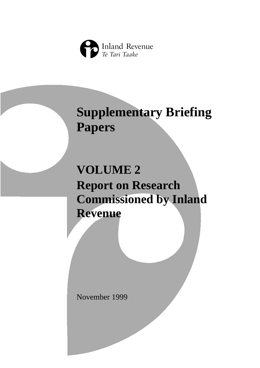

# **Supplementary Briefing Papers**

# **VOLUME 2 Report on Research Commissioned by Inland Revenue**

November 1999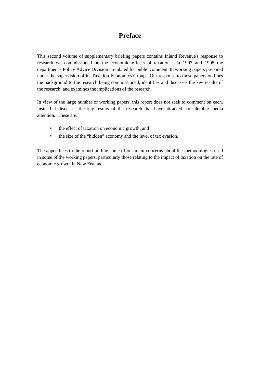# **Preface**

This second volume of supplementary briefing papers contains Inland Revenue's response to research we commissioned on the economic effects of taxation. In 1997 and 1998 the department's Policy Advice Division circulated for public comment 38 working papers prepared under the supervision of its Taxation Economics Group. Our response to those papers outlines the background to the research being commissioned, identifies and discusses the key results of the research, and examines the implications of the research.

In view of the large number of working papers, this report does not seek to comment on each. Instead it discusses the key results of the research that have attracted considerable media attention. These are:

- the effect of taxation on economic growth; and
- the size of the "hidden" economy and the level of tax evasion.

The appendices to the report outline some of our main concerns about the methodologies used in some of the working papers, particularly those relating to the impact of taxation on the rate of economic growth in New Zealand.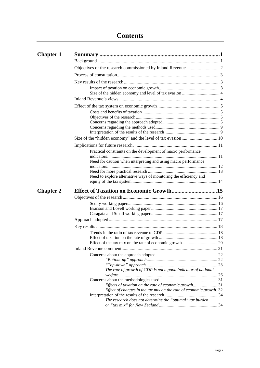| <b>Chapter 1</b> |                                                                     |
|------------------|---------------------------------------------------------------------|
|                  |                                                                     |
|                  |                                                                     |
|                  |                                                                     |
|                  |                                                                     |
|                  |                                                                     |
|                  |                                                                     |
|                  |                                                                     |
|                  |                                                                     |
|                  |                                                                     |
|                  |                                                                     |
|                  |                                                                     |
|                  |                                                                     |
|                  |                                                                     |
|                  | Practical constraints on the development of macro performance       |
|                  | Need for caution when interpreting and using macro performance      |
|                  |                                                                     |
|                  | Need to explore alternative ways of monitoring the efficiency and   |
| <b>Chapter 2</b> |                                                                     |
|                  |                                                                     |
|                  |                                                                     |
|                  |                                                                     |
|                  |                                                                     |
|                  |                                                                     |
|                  |                                                                     |
|                  |                                                                     |
|                  |                                                                     |
|                  |                                                                     |
|                  |                                                                     |
|                  |                                                                     |
|                  |                                                                     |
|                  | The rate of growth of GDP is not a good indicator of national       |
|                  |                                                                     |
|                  |                                                                     |
|                  |                                                                     |
|                  | Effect of changes in the tax mix on the rate of economic growth. 32 |
|                  |                                                                     |
|                  | The research does not determine the "optimal" tax burden            |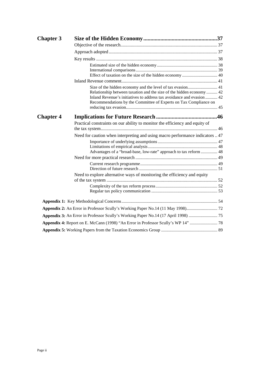| <b>Chapter 3</b> |                                                                                                                                              |  |
|------------------|----------------------------------------------------------------------------------------------------------------------------------------------|--|
|                  |                                                                                                                                              |  |
|                  |                                                                                                                                              |  |
|                  |                                                                                                                                              |  |
|                  |                                                                                                                                              |  |
|                  |                                                                                                                                              |  |
|                  |                                                                                                                                              |  |
|                  | Relationship between taxation and the size of the hidden economy 42<br>Inland Revenue's initiatives to address tax avoidance and evasion  42 |  |
|                  | Recommendations by the Committee of Experts on Tax Compliance on                                                                             |  |
| <b>Chapter 4</b> |                                                                                                                                              |  |
|                  | Practical constraints on our ability to monitor the efficiency and equity of                                                                 |  |
|                  | Need for caution when interpreting and using macro performance indicators  47                                                                |  |
|                  |                                                                                                                                              |  |
|                  | Advantages of a "broad-base, low-rate" approach to tax reform  48                                                                            |  |
|                  |                                                                                                                                              |  |
|                  |                                                                                                                                              |  |
|                  | Need to explore alternative ways of monitoring the efficiency and equity                                                                     |  |
|                  |                                                                                                                                              |  |
|                  |                                                                                                                                              |  |
|                  |                                                                                                                                              |  |
|                  | Appendix 3: An Error in Professor Scully's Working Paper No.14 (17 April 1998)  75                                                           |  |
|                  |                                                                                                                                              |  |
|                  |                                                                                                                                              |  |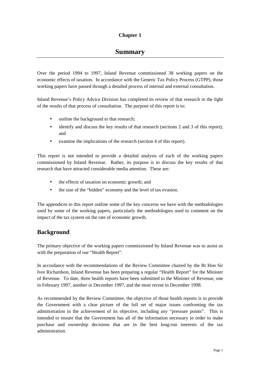## **Chapter 1**

# **Summary**

<span id="page-6-0"></span>Over the period 1994 to 1997, Inland Revenue commissioned 38 working papers on the economic effects of taxation. In accordance with the Generic Tax Policy Process (GTPP), those working papers have passed through a detailed process of internal and external consultation.

Inland Revenue's Policy Advice Division has completed its review of that research in the light of the results of that process of consultation. The purpose of this report is to:

- outline the background to that research;
- identify and discuss the key results of that research (sections 2 and 3 of this report); and
- examine the implications of the research (section 4 of this report).

This report is not intended to provide a detailed analysis of each of the working papers commissioned by Inland Revenue. Rather, its purpose is to discuss the key results of that research that have attracted considerable media attention. These are:

- the effects of taxation on economic growth; and
- the size of the "hidden" economy and the level of tax evasion.

The appendices to this report outline some of the key concerns we have with the methodologies used by some of the working papers, particularly the methodologies used to comment on the impact of the tax system on the rate of economic growth.

## **Background**

The primary objective of the working papers commissioned by Inland Revenue was to assist us with the preparation of our "Health Report".

In accordance with the recommendations of the Review Committee chaired by the Rt Hon Sir Ivor Richardson, Inland Revenue has been preparing a regular "Health Report" for the Minister of Revenue. To date, three health reports have been submitted to the Minister of Revenue, one in February 1997, another in December 1997, and the most recent in December 1998.

As recommended by the Review Committee, the objective of those health reports is to provide the Government with a clear picture of the full set of major issues confronting the tax administration in the achievement of its objective, including any "pressure points". This is intended to ensure that the Government has all of the information necessary in order to make purchase and ownership decisions that are in the best long-run interests of the tax administration.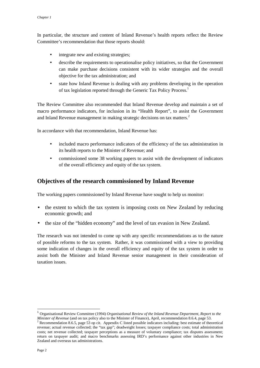<span id="page-7-0"></span>In particular, the structure and content of Inland Revenue's health reports reflect the Review Committee's recommendation that those reports should:

- integrate new and existing strategies;
- describe the requirements to operationalise policy initiatives, so that the Government can make purchase decisions consistent with its wider strategies and the overall objective for the tax administration; and
- state how Inland Revenue is dealing with any problems developing in the operation of tax legislation reported through the Generic Tax Policy Process.<sup>1</sup>

The Review Committee also recommended that Inland Revenue develop and maintain a set of macro performance indicators, for inclusion in its "Health Report", to assist the Government and Inland Revenue management in making strategic decisions on tax matters.<sup>2</sup>

In accordance with that recommendation, Inland Revenue has:

- included macro performance indicators of the efficiency of the tax administration in its health reports to the Minister of Revenue; and
- commissioned some 38 working papers to assist with the development of indicators of the overall efficiency and equity of the tax system.

# **Objectives of the research commissioned by Inland Revenue**

The working papers commissioned by Inland Revenue have sought to help us monitor:

- the extent to which the tax system is imposing costs on New Zealand by reducing economic growth; and
- the size of the "hidden economy" and the level of tax evasion in New Zealand.

The research was not intended to come up with any specific recommendations as to the nature of possible reforms to the tax system. Rather, it was commissioned with a view to providing some indication of changes in the overall efficiency and equity of the tax system in order to assist both the Minister and Inland Revenue senior management in their consideration of taxation issues.

 $\overline{\phantom{a}}$ <sup>1</sup> Organisational Review Committee (1994) *Organisational Review of the Inland Revenue Department*, *Report to the Minister of Revenue* (and on tax policy also to the Minister of Finance), April, recommendation 8.6.4, page 53.

<sup>&</sup>lt;sup>2</sup> Recommendation 8.6.5, page 53 op cit. Appendix C listed possible indicators including: best estimate of theoretical revenue; actual revenue collected; the "tax gap"; deadweight losses; taxpayer compliance costs; total administration costs; net revenue collected; taxpayer perceptions as a measure of voluntary compliance; tax disputes assessment; return on taxpayer audit; and macro benchmarks assessing IRD's performance against other industries in New Zealand and overseas tax administrations.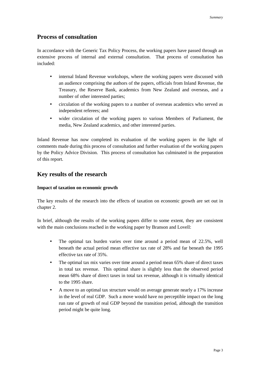## <span id="page-8-0"></span>**Process of consultation**

In accordance with the Generic Tax Policy Process, the working papers have passed through an extensive process of internal and external consultation. That process of consultation has included:

- internal Inland Revenue workshops, where the working papers were discussed with an audience comprising the authors of the papers, officials from Inland Revenue, the Treasury, the Reserve Bank, academics from New Zealand and overseas, and a number of other interested parties;
- circulation of the working papers to a number of overseas academics who served as independent referees; and
- wider circulation of the working papers to various Members of Parliament, the media, New Zealand academics, and other interested parties.

Inland Revenue has now completed its evaluation of the working papers in the light of comments made during this process of consultation and further evaluation of the working papers by the Policy Advice Division. This process of consultation has culminated in the preparation of this report.

# **Key results of the research**

#### **Impact of taxation on economic growth**

The key results of the research into the effects of taxation on economic growth are set out in chapter 2.

In brief, although the results of the working papers differ to some extent, they are consistent with the main conclusions reached in the working paper by Branson and Lovell:

- The optimal tax burden varies over time around a period mean of 22.5%, well beneath the actual period mean effective tax rate of 28% and far beneath the 1995 effective tax rate of 35%.
- The optimal tax mix varies over time around a period mean 65% share of direct taxes in total tax revenue. This optimal share is slightly less than the observed period mean 68% share of direct taxes in total tax revenue, although it is virtually identical to the 1995 share.
- A move to an optimal tax structure would on average generate nearly a 17% increase in the level of real GDP. Such a move would have no perceptible impact on the long run rate of growth of real GDP beyond the transition period, although the transition period might be quite long.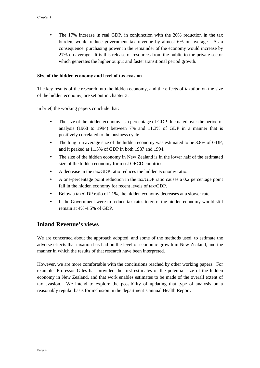<span id="page-9-0"></span>• The 17% increase in real GDP, in conjunction with the 20% reduction in the tax burden, would reduce government tax revenue by almost 6% on average. As a consequence, purchasing power in the remainder of the economy would increase by 27% on average. It is this release of resources from the public to the private sector which generates the higher output and faster transitional period growth.

#### **Size of the hidden economy and level of tax evasion**

The key results of the research into the hidden economy, and the effects of taxation on the size of the hidden economy, are set out in chapter 3.

In brief, the working papers conclude that:

- The size of the hidden economy as a percentage of GDP fluctuated over the period of analysis (1968 to 1994) between 7% and 11.3% of GDP in a manner that is positively correlated to the business cycle.
- The long run average size of the hidden economy was estimated to be 8.8% of GDP, and it peaked at 11.3% of GDP in both 1987 and 1994.
- The size of the hidden economy in New Zealand is in the lower half of the estimated size of the hidden economy for most OECD countries.
- A decrease in the tax/GDP ratio reduces the hidden economy ratio.
- A one-percentage point reduction in the tax/GDP ratio causes a 0.2 percentage point fall in the hidden economy for recent levels of tax/GDP.
- Below a tax/GDP ratio of 21%, the hidden economy decreases at a slower rate.
- If the Government were to reduce tax rates to zero, the hidden economy would still remain at 4%-4.5% of GDP.

# **Inland Revenue's views**

We are concerned about the approach adopted, and some of the methods used, to estimate the adverse effects that taxation has had on the level of economic growth in New Zealand, and the manner in which the results of that research have been interpreted.

However, we are more comfortable with the conclusions reached by other working papers. For example, Professor Giles has provided the first estimates of the potential size of the hidden economy in New Zealand, and that work enables estimates to be made of the overall extent of tax evasion. We intend to explore the possibility of updating that type of analysis on a reasonably regular basis for inclusion in the department's annual Health Report.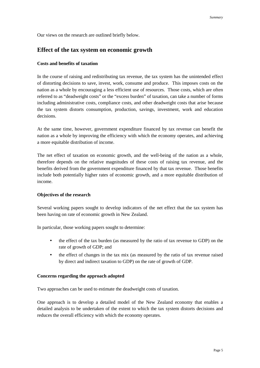<span id="page-10-0"></span>Our views on the research are outlined briefly below.

## **Effect of the tax system on economic growth**

#### **Costs and benefits of taxation**

In the course of raising and redistributing tax revenue, the tax system has the unintended effect of distorting decisions to save, invest, work, consume and produce. This imposes costs on the nation as a whole by encouraging a less efficient use of resources. Those costs, which are often referred to as "deadweight costs" or the "excess burden" of taxation, can take a number of forms including administrative costs, compliance costs, and other deadweight costs that arise because the tax system distorts consumption, production, savings, investment, work and education decisions.

At the same time, however, government expenditure financed by tax revenue can benefit the nation as a whole by improving the efficiency with which the economy operates, and achieving a more equitable distribution of income.

The net effect of taxation on economic growth, and the well-being of the nation as a whole, therefore depends on the relative magnitudes of these costs of raising tax revenue, and the benefits derived from the government expenditure financed by that tax revenue. Those benefits include both potentially higher rates of economic growth, and a more equitable distribution of income.

#### **Objectives of the research**

Several working papers sought to develop indicators of the net effect that the tax system has been having on rate of economic growth in New Zealand.

In particular, those working papers sought to determine:

- the effect of the tax burden (as measured by the ratio of tax revenue to GDP) on the rate of growth of GDP; and
- the effect of changes in the tax mix (as measured by the ratio of tax revenue raised by direct and indirect taxation to GDP) on the rate of growth of GDP.

#### **Concerns regarding the approach adopted**

Two approaches can be used to estimate the deadweight costs of taxation.

One approach is to develop a detailed model of the New Zealand economy that enables a detailed analysis to be undertaken of the extent to which the tax system distorts decisions and reduces the overall efficiency with which the economy operates.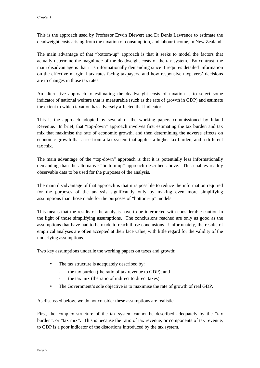This is the approach used by Professor Erwin Diewert and Dr Denis Lawrence to estimate the deadweight costs arising from the taxation of consumption, and labour income, in New Zealand.

The main advantage of that "bottom-up" approach is that it seeks to model the factors that actually determine the magnitude of the deadweight costs of the tax system. By contrast, the main disadvantage is that it is informationally demanding since it requires detailed information on the effective marginal tax rates facing taxpayers, and how responsive taxpayers' decisions are to changes in those tax rates.

An alternative approach to estimating the deadweight costs of taxation is to select some indicator of national welfare that is measurable (such as the rate of growth in GDP) and estimate the extent to which taxation has adversely affected that indicator.

This is the approach adopted by several of the working papers commissioned by Inland Revenue. In brief, that "top-down" approach involves first estimating the tax burden and tax mix that maximise the rate of economic growth, and then determining the adverse effects on economic growth that arise from a tax system that applies a higher tax burden, and a different tax mix.

The main advantage of the "top-down" approach is that it is potentially less informationally demanding than the alternative "bottom-up" approach described above. This enables readily observable data to be used for the purposes of the analysis.

The main disadvantage of that approach is that it is possible to reduce the information required for the purposes of the analysis significantly only by making even more simplifying assumptions than those made for the purposes of "bottom-up" models.

This means that the results of the analysis have to be interpreted with considerable caution in the light of those simplifying assumptions. The conclusions reached are only as good as the assumptions that have had to be made to reach those conclusions. Unfortunately, the results of empirical analyses are often accepted at their face value, with little regard for the validity of the underlying assumptions.

Two key assumptions underlie the working papers on taxes and growth:

- The tax structure is adequately described by:
	- the tax burden (the ratio of tax revenue to GDP); and
	- the tax mix (the ratio of indirect to direct taxes).
- The Government's sole objective is to maximise the rate of growth of real GDP.

As discussed below, we do not consider these assumptions are realistic.

First, the complex structure of the tax system cannot be described adequately by the "tax burden", or "tax mix". This is because the ratio of tax revenue, or components of tax revenue, to GDP is a poor indicator of the distortions introduced by the tax system.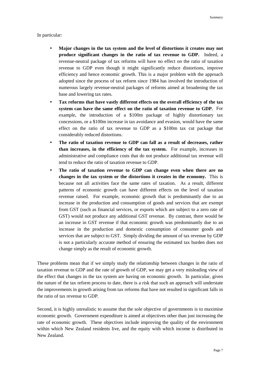#### In particular:

- **Major changes in the tax system and the level of distortions it creates may not produce significant changes in the ratio of tax revenue to GDP.** Indeed, a revenue-neutral package of tax reforms will have no effect on the ratio of taxation revenue to GDP even though it might significantly reduce distortions, improve efficiency and hence economic growth. This is a major problem with the approach adopted since the process of tax reform since 1984 has involved the introduction of numerous largely revenue-neutral packages of reforms aimed at broadening the tax base and lowering tax rates.
- **Tax reforms that have vastly different effects on the overall efficiency of the tax system can have the same effect on the ratio of taxation revenue to GDP.** For example, the introduction of a \$100m package of highly distortionary tax concessions, or a \$100m increase in tax avoidance and evasion, would have the same effect on the ratio of tax revenue to GDP as a \$100m tax cut package that considerably reduced distortions.
- **The ratio of taxation revenue to GDP can fall as a result of decreases, rather than increases, in the efficiency of the tax system.** For example, increases in administrative and compliance costs that do not produce additional tax revenue will tend to reduce the ratio of taxation revenue to GDP.
- **The ratio of taxation revenue to GDP can change even when there are no changes in the tax system or the distortions it creates in the economy.** This is because not all activities face the same rates of taxation. As a result, different patterns of economic growth can have different effects on the level of taxation revenue raised. For example, economic growth that is predominantly due to an increase in the production and consumption of goods and services that are exempt from GST (such as financial services, or exports which are subject to a zero rate of GST) would not produce any additional GST revenue. By contrast, there would be an increase in GST revenue if that economic growth was predominantly due to an increase in the production and domestic consumption of consumer goods and services that are subject to GST. Simply dividing the amount of tax revenue by GDP is not a particularly accurate method of ensuring the estimated tax burden does not change simply as the result of economic growth.

These problems mean that if we simply study the relationship between changes in the ratio of taxation revenue to GDP and the rate of growth of GDP, we may get a very misleading view of the effect that changes in the tax system are having on economic growth. In particular, given the nature of the tax reform process to date, there is a risk that such an approach will understate the improvements in growth arising from tax reforms that have not resulted in significant falls in the ratio of tax revenue to GDP.

Second, it is highly unrealistic to assume that the sole objective of governments is to maximise economic growth. Government expenditure is aimed at objectives other than just increasing the rate of economic growth. These objectives include improving the quality of the environment within which New Zealand residents live, and the equity with which income is distributed in New Zealand.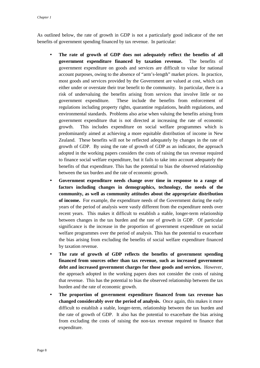As outlined below, the rate of growth in GDP is not a particularly good indicator of the net benefits of government spending financed by tax revenue. In particular:

- **The rate of growth of GDP does not adequately reflect the benefits of all government expenditure financed by taxation revenue.** The benefits of government expenditure on goods and services are difficult to value for national account purposes, owing to the absence of "arm's-length" market prices. In practice, most goods and services provided by the Government are valued at cost, which can either under or overstate their true benefit to the community. In particular, there is a risk of undervaluing the benefits arising from services that involve little or no government expenditure. These include the benefits from enforcement of regulations including property rights, quarantine regulations, health regulations, and environmental standards. Problems also arise when valuing the benefits arising from government expenditure that is not directed at increasing the rate of economic growth. This includes expenditure on social welfare programmes which is predominantly aimed at achieving a more equitable distribution of income in New Zealand. These benefits will not be reflected adequately by changes in the rate of growth of GDP. By using the rate of growth of GDP as an indicator, the approach adopted in the working papers considers the costs of raising the tax revenue required to finance social welfare expenditure, but it fails to take into account adequately the benefits of that expenditure. This has the potential to bias the observed relationship between the tax burden and the rate of economic growth.
- **Government expenditure needs change over time in response to a range of factors including changes in demographics, technology, the needs of the community, as well as community attitudes about the appropriate distribution of income.** For example, the expenditure needs of the Government during the early years of the period of analysis were vastly different from the expenditure needs over recent years. This makes it difficult to establish a stable, longer-term relationship between changes in the tax burden and the rate of growth in GDP. Of particular significance is the increase in the proportion of government expenditure on social welfare programmes over the period of analysis. This has the potential to exacerbate the bias arising from excluding the benefits of social welfare expenditure financed by taxation revenue.
- **The rate of growth of GDP reflects the benefits of government spending financed from sources other than tax revenue, such as increased government debt and increased government charges for those goods and services.** However, the approach adopted in the working papers does not consider the costs of raising that revenue. This has the potential to bias the observed relationship between the tax burden and the rate of economic growth.
- **The proportion of government expenditure financed from tax revenue has changed considerably over the period of analysis.** Once again, this makes it more difficult to establish a stable, longer-term, relationship between the tax burden and the rate of growth of GDP. It also has the potential to exacerbate the bias arising from excluding the costs of raising the non-tax revenue required to finance that expenditure.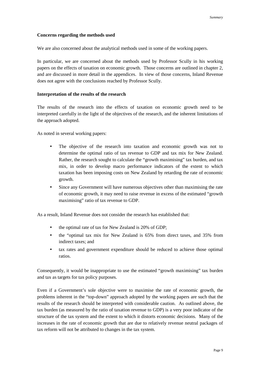#### <span id="page-14-0"></span>**Concerns regarding the methods used**

We are also concerned about the analytical methods used in some of the working papers.

In particular, we are concerned about the methods used by Professor Scully in his working papers on the effects of taxation on economic growth. Those concerns are outlined in chapter 2, and are discussed in more detail in the appendices. In view of those concerns, Inland Revenue does not agree with the conclusions reached by Professor Scully.

#### **Interpretation of the results of the research**

The results of the research into the effects of taxation on economic growth need to be interpreted carefully in the light of the objectives of the research, and the inherent limitations of the approach adopted.

As noted in several working papers:

- The objective of the research into taxation and economic growth was not to determine the optimal ratio of tax revenue to GDP and tax mix for New Zealand. Rather, the research sought to calculate the "growth maximising" tax burden, and tax mix, in order to develop macro performance indicators of the extent to which taxation has been imposing costs on New Zealand by retarding the rate of economic growth.
- Since any Government will have numerous objectives other than maximising the rate of economic growth, it may need to raise revenue in excess of the estimated "growth maximising" ratio of tax revenue to GDP.

As a result, Inland Revenue does not consider the research has established that:

- the optimal rate of tax for New Zealand is 20% of GDP;
- the "optimal tax mix for New Zealand is 65% from direct taxes, and 35% from indirect taxes; and
- tax rates and government expenditure should be reduced to achieve those optimal ratios.

Consequently, it would be inappropriate to use the estimated "growth maximising" tax burden and tax as targets for tax policy purposes.

Even if a Government's sole objective were to maximise the rate of economic growth, the problems inherent in the "top-down" approach adopted by the working papers are such that the results of the research should be interpreted with considerable caution. As outlined above, the tax burden (as measured by the ratio of taxation revenue to GDP) is a very poor indicator of the structure of the tax system and the extent to which it distorts economic decisions. Many of the increases in the rate of economic growth that are due to relatively revenue neutral packages of tax reform will not be attributed to changes in the tax system.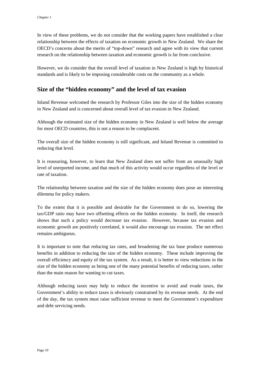<span id="page-15-0"></span>In view of these problems, we do not consider that the working papers have established a clear relationship between the effects of taxation on economic growth in New Zealand. We share the OECD's concerns about the merits of "top-down" research and agree with its view that current research on the relationship between taxation and economic growth is far from conclusive.

However, we do consider that the overall level of taxation in New Zealand is high by historical standards and is likely to be imposing considerable costs on the community as a whole.

## **Size of the "hidden economy" and the level of tax evasion**

Inland Revenue welcomed the research by Professor Giles into the size of the hidden economy in New Zealand and is concerned about overall level of tax evasion in New Zealand.

Although the estimated size of the hidden economy in New Zealand is well below the average for most OECD countries, this is not a reason to be complacent.

The overall size of the hidden economy is still significant, and Inland Revenue is committed to reducing that level.

It is reassuring, however, to learn that New Zealand does not suffer from an unusually high level of unreported income, and that much of this activity would occur regardless of the level or rate of taxation.

The relationship between taxation and the size of the hidden economy does pose an interesting dilemma for policy makers.

To the extent that it is possible and desirable for the Government to do so, lowering the tax/GDP ratio may have two offsetting effects on the hidden economy. In itself, the research shows that such a policy would decrease tax evasion. However, because tax evasion and economic growth are positively correlated, it would also encourage tax evasion. The net effect remains ambiguous.

It is important to note that reducing tax rates, and broadening the tax base produce numerous benefits in addition to reducing the size of the hidden economy. These include improving the overall efficiency and equity of the tax system. As a result, it is better to view reductions in the size of the hidden economy as being one of the many potential benefits of reducing taxes, rather than the main reason for wanting to cut taxes.

Although reducing taxes may help to reduce the incentive to avoid and evade taxes, the Government's ability to reduce taxes is obviously constrained by its revenue needs. At the end of the day, the tax system must raise sufficient revenue to meet the Government's expenditure and debt servicing needs.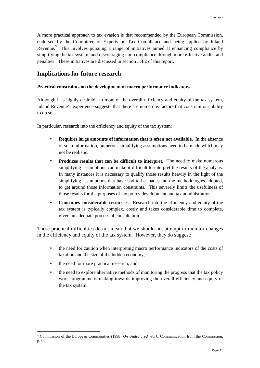<span id="page-16-0"></span>A more practical approach to tax evasion is that recommended by the European Commission, endorsed by the Committee of Experts on Tax Compliance and being applied by Inland Revenue.<sup>3</sup> This involves pursuing a range of initiatives aimed at enhancing compliance by simplifying the tax system, and discouraging non-compliance through more effective audits and penalties. These initiatives are discussed in section 3.4.2 of this report.

# **Implications for future research**

#### **Practical constraints on the development of macro performance indicators**

Although it is highly desirable to monitor the overall efficiency and equity of the tax system, Inland Revenue's experience suggests that there are numerous factors that constrain our ability to do so.

In particular, research into the efficiency and equity of the tax system:

- **Requires large amounts of information that is often not available.** In the absence of such information, numerous simplifying assumptions need to be made which may not be realistic.
- **Produces results that can be difficult to interpret.** The need to make numerous simplifying assumptions can make it difficult to interpret the results of the analysis. In many instances it is necessary to qualify those results heavily in the light of the simplifying assumptions that have had to be made, and the methodologies adopted, to get around those information constraints. This severely limits the usefulness of those results for the purposes of tax policy development and tax administration.
- **Consumes considerable resources**. Research into the efficiency and equity of the tax system is typically complex, costly and takes considerable time to complete, given an adequate process of consultation.

These practical difficulties do not mean that we should not attempt to monitor changes in the efficiency and equity of the tax system. However, they do suggest:

- the need for caution when interpreting macro performance indicators of the costs of taxation and the size of the hidden economy;
- the need for more practical research; and

 $\overline{a}$ 

• the need to explore alternative methods of monitoring the progress that the tax policy work programme is making towards improving the overall efficiency and equity of the tax system.

<sup>3</sup> Commission of the European Communities (1998) *On Undeclared Work*, Communication from the Commission, p.11.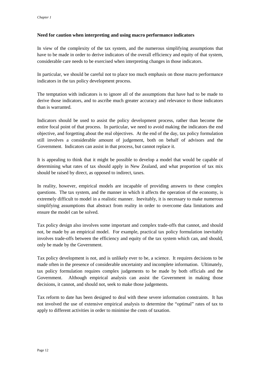#### <span id="page-17-0"></span>**Need for caution when interpreting and using macro performance indicators**

In view of the complexity of the tax system, and the numerous simplifying assumptions that have to be made in order to derive indicators of the overall efficiency and equity of that system, considerable care needs to be exercised when interpreting changes in those indicators.

In particular, we should be careful not to place too much emphasis on those macro performance indicators in the tax policy development process.

The temptation with indicators is to ignore all of the assumptions that have had to be made to derive those indicators, and to ascribe much greater accuracy and relevance to those indicators than is warranted.

Indicators should be used to assist the policy development process, rather than become the entire focal point of that process. In particular, we need to avoid making the indicators the end objective, and forgetting about the real objectives. At the end of the day, tax policy formulation still involves a considerable amount of judgement, both on behalf of advisors and the Government. Indicators can assist in that process, but cannot replace it.

It is appealing to think that it might be possible to develop a model that would be capable of determining what rates of tax should apply in New Zealand, and what proportion of tax mix should be raised by direct, as opposed to indirect, taxes.

In reality, however, empirical models are incapable of providing answers to these complex questions. The tax system, and the manner in which it affects the operation of the economy, is extremely difficult to model in a realistic manner. Inevitably, it is necessary to make numerous simplifying assumptions that abstract from reality in order to overcome data limitations and ensure the model can be solved.

Tax policy design also involves some important and complex trade-offs that cannot, and should not, be made by an empirical model. For example, practical tax policy formulation inevitably involves trade-offs between the efficiency and equity of the tax system which can, and should, only be made by the Government.

Tax policy development is not, and is unlikely ever to be, a science. It requires decisions to be made often in the presence of considerable uncertainty and incomplete information. Ultimately, tax policy formulation requires complex judgements to be made by both officials and the Government. Although empirical analysis can assist the Government in making those decisions, it cannot, and should not, seek to make those judgements.

Tax reform to date has been designed to deal with these severe information constraints. It has not involved the use of extensive empirical analysis to determine the "optimal" rates of tax to apply to different activities in order to minimise the costs of taxation.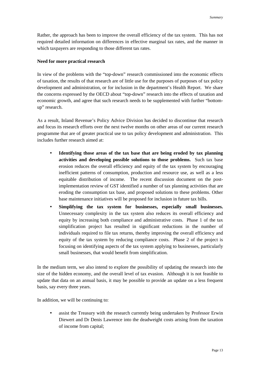<span id="page-18-0"></span>Rather, the approach has been to improve the overall efficiency of the tax system. This has not required detailed information on differences in effective marginal tax rates, and the manner in which taxpayers are responding to those different tax rates.

#### **Need for more practical research**

In view of the problems with the "top-down" research commissioned into the economic effects of taxation, the results of that research are of little use for the purposes of purposes of tax policy development and administration, or for inclusion in the department's Health Report. We share the concerns expressed by the OECD about "top-down" research into the effects of taxation and economic growth, and agree that such research needs to be supplemented with further "bottomup" research.

As a result, Inland Revenue's Policy Advice Division has decided to discontinue that research and focus its research efforts over the next twelve months on other areas of our current research programme that are of greater practical use to tax policy development and administration. This includes further research aimed at:

- **Identifying those areas of the tax base that are being eroded by tax planning activities and developing possible solutions to those problems.** Such tax base erosion reduces the overall efficiency and equity of the tax system by encouraging inefficient patterns of consumption, production and resource use, as well as a less equitable distribution of income. The recent discussion document on the postimplementation review of GST identified a number of tax planning activities that are eroding the consumption tax base, and proposed solutions to these problems. Other base maintenance initiatives will be proposed for inclusion in future tax bills.
- **Simplifying the tax system for businesses, especially small businesses.** Unnecessary complexity in the tax system also reduces its overall efficiency and equity by increasing both compliance and administrative costs. Phase 1 of the tax simplification project has resulted in significant reductions in the number of individuals required to file tax returns, thereby improving the overall efficiency and equity of the tax system by reducing compliance costs. Phase 2 of the project is focusing on identifying aspects of the tax system applying to businesses, particularly small businesses, that would benefit from simplification.

In the medium term, we also intend to explore the possibility of updating the research into the size of the hidden economy, and the overall level of tax evasion. Although it is not feasible to update that data on an annual basis, it may be possible to provide an update on a less frequent basis, say every three years.

In addition, we will be continuing to:

assist the Treasury with the research currently being undertaken by Professor Erwin Diewert and Dr Denis Lawrence into the deadweight costs arising from the taxation of income from capital;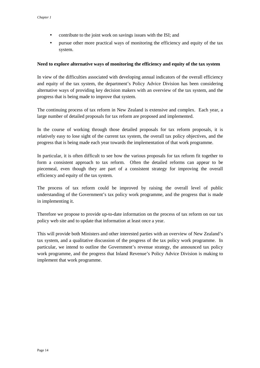- <span id="page-19-0"></span>• contribute to the joint work on savings issues with the ISI; and
- pursue other more practical ways of monitoring the efficiency and equity of the tax system.

#### **Need to explore alternative ways of monitoring the efficiency and equity of the tax system**

In view of the difficulties associated with developing annual indicators of the overall efficiency and equity of the tax system, the department's Policy Advice Division has been considering alternative ways of providing key decision makers with an overview of the tax system, and the progress that is being made to improve that system.

The continuing process of tax reform in New Zealand is extensive and complex. Each year, a large number of detailed proposals for tax reform are proposed and implemented.

In the course of working through those detailed proposals for tax reform proposals, it is relatively easy to lose sight of the current tax system, the overall tax policy objectives, and the progress that is being made each year towards the implementation of that work programme.

In particular, it is often difficult to see how the various proposals for tax reform fit together to form a consistent approach to tax reform. Often the detailed reforms can appear to be piecemeal, even though they are part of a consistent strategy for improving the overall efficiency and equity of the tax system.

The process of tax reform could be improved by raising the overall level of public understanding of the Government's tax policy work programme, and the progress that is made in implementing it.

Therefore we propose to provide up-to-date information on the process of tax reform on our tax policy web site and to update that information at least once a year.

This will provide both Ministers and other interested parties with an overview of New Zealand's tax system, and a qualitative discussion of the progress of the tax policy work programme. In particular, we intend to outline the Government's revenue strategy, the announced tax policy work programme, and the progress that Inland Revenue's Policy Advice Division is making to implement that work programme.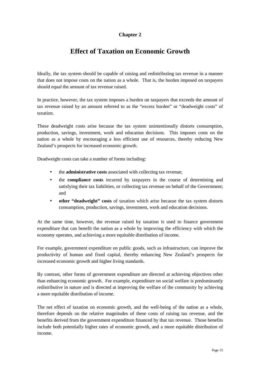## **Chapter 2**

# **Effect of Taxation on Economic Growth**

<span id="page-20-0"></span>Ideally, the tax system should be capable of raising and redistributing tax revenue in a manner that does not impose costs on the nation as a whole. That is, the burden imposed on taxpayers should equal the amount of tax revenue raised.

In practice, however, the tax system imposes a burden on taxpayers that exceeds the amount of tax revenue raised by an amount referred to as the "excess burden" or "deadweight costs" of taxation.

These deadweight costs arise because the tax system unintentionally distorts consumption, production, savings, investment, work and education decisions. This imposes costs on the nation as a whole by encouraging a less efficient use of resources, thereby reducing New Zealand's prospects for increased economic growth.

Deadweight costs can take a number of forms including:

- the **administrative costs** associated with collecting tax revenue;
- the **compliance costs** incurred by taxpayers in the course of determining and satisfying their tax liabilities, or collecting tax revenue on behalf of the Government; and
- **other "deadweight" costs** of taxation which arise because the tax system distorts consumption, production, savings, investment, work and education decisions.

At the same time, however, the revenue raised by taxation is used to finance government expenditure that can benefit the nation as a whole by improving the efficiency with which the economy operates, and achieving a more equitable distribution of income.

For example, government expenditure on public goods, such as infrastructure, can improve the productivity of human and fixed capital, thereby enhancing New Zealand's prospects for increased economic growth and higher living standards.

By contrast, other forms of government expenditure are directed at achieving objectives other than enhancing economic growth. For example, expenditure on social welfare is predominantly redistributive in nature and is directed at improving the welfare of the community by achieving a more equitable distribution of income.

The net effect of taxation on economic growth, and the well-being of the nation as a whole, therefore depends on the relative magnitudes of these costs of raising tax revenue, and the benefits derived from the government expenditure financed by that tax revenue. Those benefits include both potentially higher rates of economic growth, and a more equitable distribution of income.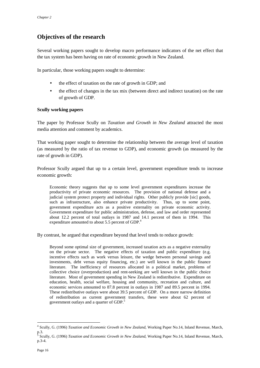# <span id="page-21-0"></span>**Objectives of the research**

Several working papers sought to develop macro performance indicators of the net effect that the tax system has been having on rate of economic growth in New Zealand.

In particular, those working papers sought to determine:

- the effect of taxation on the rate of growth in GDP; and
- the effect of changes in the tax mix (between direct and indirect taxation) on the rate of growth of GDP.

#### **Scully working papers**

The paper by Professor Scully on *Taxation and Growth in New Zealand* attracted the most media attention and comment by academics.

That working paper sought to determine the relationship between the average level of taxation (as measured by the ratio of tax revenue to GDP), and economic growth (as measured by the rate of growth in GDP).

Professor Scully argued that up to a certain level, government expenditure tends to increase economic growth:

Economic theory suggests that up to some level government expenditures increase the productivity of private economic resources. The provision of national defense and a judicial system protect property and individual rights. Other publicly provide [sic] goods, such as infrastructure, also enhance private productivity. Thus, up to some point, government expenditure acts as a positive externality on private economic activity. Government expenditure for public administration, defense, and law and order represented about 12.2 percent of total outlays in 1987 and 14.1 percent of them in 1994. This expenditure amounted to about 5.5 percent of GDP.<sup>4</sup>

By contrast, he argued that expenditure beyond that level tends to reduce growth:

Beyond some optimal size of government, increased taxation acts as a negative externality on the private sector. The negative effects of taxation and public expenditure (e.g. incentive effects such as work versus leisure, the wedge between personal savings and investments, debt versus equity financing, etc.) are well known in the public finance literature. The inefficiency of resources allocated in a political market, problems of collective choice (overproduction) and rent-seeking are well known in the public choice literature. Most of government spending in New Zealand is redistributive. Expenditure on education, health, social welfare, housing and community, recreation and culture, and economic services amounted to 87.8 percent in outlays in 1987 and 89.5 percent in 1994. These redistributive outlays were about 39.5 percent of GDP. On a more narrow definition of redistribution as current government transfers, these were about 62 percent of government outlays and a quarter of GDP.<sup>5</sup>

 $\overline{a}$ 

<sup>4</sup> Scully, G. (1996) *Taxation and Economic Growth in New Zealand,* Working Paper No.14, Inland Revenue, March,  $\frac{p.3}{5}$ 

Scully, G. (1996) *Taxation and Economic Growth in New Zealand,* Working Paper No.14, Inland Revenue, March, p.3-4.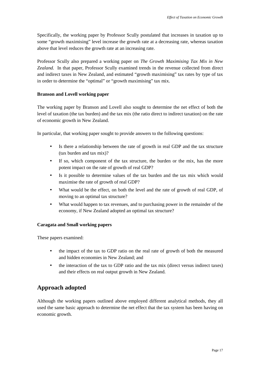<span id="page-22-0"></span>Specifically, the working paper by Professor Scully postulated that increases in taxation up to some "growth maximising" level increase the growth rate at a decreasing rate, whereas taxation above that level reduces the growth rate at an increasing rate.

Professor Scully also prepared a working paper on *The Growth Maximising Tax Mix in New Zealand.* In that paper, Professor Scully examined trends in the revenue collected from direct and indirect taxes in New Zealand, and estimated "growth maximising" tax rates by type of tax in order to determine the "optimal" or "growth maximising" tax mix.

#### **Branson and Lovell working paper**

The working paper by Branson and Lovell also sought to determine the net effect of both the level of taxation (the tax burden) and the tax mix (the ratio direct to indirect taxation) on the rate of economic growth in New Zealand.

In particular, that working paper sought to provide answers to the following questions:

- Is there a relationship between the rate of growth in real GDP and the tax structure (tax burden and tax mix)?
- If so, which component of the tax structure, the burden or the mix, has the more potent impact on the rate of growth of real GDP?
- Is it possible to determine values of the tax burden and the tax mix which would maximise the rate of growth of real GDP?
- What would be the effect, on both the level and the rate of growth of real GDP, of moving to an optimal tax structure?
- What would happen to tax revenues, and to purchasing power in the remainder of the economy, if New Zealand adopted an optimal tax structure?

#### **Caragata and Small working papers**

These papers examined:

- the impact of the tax to GDP ratio on the real rate of growth of both the measured and hidden economies in New Zealand; and
- the interaction of the tax to GDP ratio and the tax mix (direct versus indirect taxes) and their effects on real output growth in New Zealand.

# **Approach adopted**

Although the working papers outlined above employed different analytical methods, they all used the same basic approach to determine the net effect that the tax system has been having on economic growth.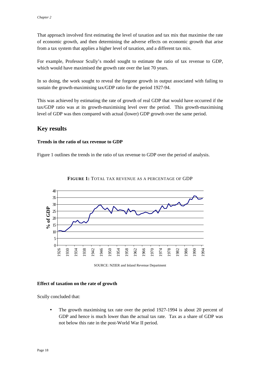<span id="page-23-0"></span>That approach involved first estimating the level of taxation and tax mix that maximise the rate of economic growth, and then determining the adverse effects on economic growth that arise from a tax system that applies a higher level of taxation, and a different tax mix.

For example, Professor Scully's model sought to estimate the ratio of tax revenue to GDP, which would have maximised the growth rate over the last 70 years.

In so doing, the work sought to reveal the forgone growth in output associated with failing to sustain the growth-maximising tax/GDP ratio for the period 1927-94.

This was achieved by estimating the rate of growth of real GDP that would have occurred if the tax/GDP ratio was at its growth-maximising level over the period. This growth-maximising level of GDP was then compared with actual (lower) GDP growth over the same period.

## **Key results**

#### **Trends in the ratio of tax revenue to GDP**

Figure 1 outlines the trends in the ratio of tax revenue to GDP over the period of analysis.



#### **FIGURE 1:** TOTAL TAX REVENUE AS A PERCENTAGE OF GDP

SOURCE: NZIER and Inland Revenue Department

#### **Effect of taxation on the rate of growth**

Scully concluded that:

• The growth maximising tax rate over the period 1927-1994 is about 20 percent of GDP and hence is much lower than the actual tax rate. Tax as a share of GDP was not below this rate in the post-World War II period.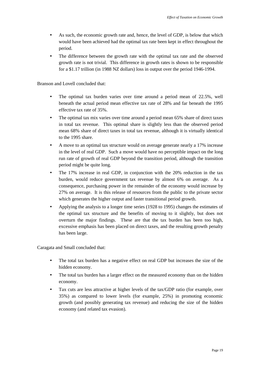- As such, the economic growth rate and, hence, the level of GDP, is below that which would have been achieved had the optimal tax rate been kept in effect throughout the period.
- The difference between the growth rate with the optimal tax rate and the observed growth rate is not trivial. This difference in growth rates is shown to be responsible for a \$1.17 trillion (in 1988 NZ dollars) loss in output over the period 1946-1994.

Branson and Lovell concluded that:

- The optimal tax burden varies over time around a period mean of 22.5%, well beneath the actual period mean effective tax rate of 28% and far beneath the 1995 effective tax rate of 35%.
- The optimal tax mix varies over time around a period mean 65% share of direct taxes in total tax revenue. This optimal share is slightly less than the observed period mean 68% share of direct taxes in total tax revenue, although it is virtually identical to the 1995 share.
- A move to an optimal tax structure would on average generate nearly a 17% increase in the level of real GDP. Such a move would have no perceptible impact on the long run rate of growth of real GDP beyond the transition period, although the transition period might be quite long.
- The 17% increase in real GDP, in conjunction with the 20% reduction in the tax burden, would reduce government tax revenue by almost 6% on average. As a consequence, purchasing power in the remainder of the economy would increase by 27% on average. It is this release of resources from the public to the private sector which generates the higher output and faster transitional period growth.
- Applying the analysis to a longer time series (1928 to 1995) changes the estimates of the optimal tax structure and the benefits of moving to it slightly, but does not overturn the major findings. These are that the tax burden has been too high, excessive emphasis has been placed on direct taxes, and the resulting growth penalty has been large.

Caragata and Small concluded that:

- The total tax burden has a negative effect on real GDP but increases the size of the hidden economy.
- The total tax burden has a larger effect on the measured economy than on the hidden economy.
- Tax cuts are less attractive at higher levels of the tax/GDP ratio (for example, over 35%) as compared to lower levels (for example, 25%) in promoting economic growth (and possibly generating tax revenue) and reducing the size of the hidden economy (and related tax evasion).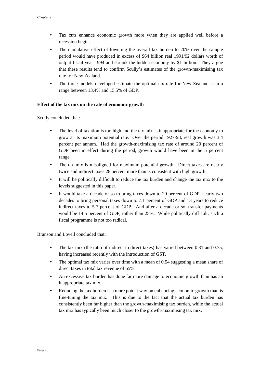- <span id="page-25-0"></span>• Tax cuts enhance economic growth more when they are applied well before a recession begins.
- The cumulative effect of lowering the overall tax burden to 20% over the sample period would have produced in excess of \$64 billion real 1991/92 dollars worth of output fiscal year 1994 and shrunk the hidden economy by \$1 billion. They argue that these results tend to confirm Scully's estimates of the growth-maximising tax rate for New Zealand.
- The three models developed estimate the optimal tax rate for New Zealand is in a range between 13.4% and 15.5% of GDP.

#### **Effect of the tax mix on the rate of economic growth**

Scully concluded that:

- The level of taxation is too high and the tax mix is inappropriate for the economy to grow at its maximum potential rate. Over the period 1927-93, real growth was 3.4 percent per annum. Had the growth-maximising tax rate of around 20 percent of GDP been in effect during the period, growth would have been in the 5 percent range.
- The tax mix is misaligned for maximum potential growth. Direct taxes are nearly twice and indirect taxes 28 percent more than is consistent with high growth.
- It will be politically difficult to reduce the tax burden and change the tax mix to the levels suggested in this paper.
- It would take a decade or so to bring taxes down to 20 percent of GDP, nearly two decades to bring personal taxes down to 7.1 percent of GDP and 13 years to reduce indirect taxes to 5.7 percent of GDP. And after a decade or so, transfer payments would be 14.5 percent of GDP, rather than 25%. While politically difficult, such a fiscal programme is not too radical.

Branson and Lovell concluded that:

- The tax mix (the ratio of indirect to direct taxes) has varied between 0.31 and 0.75, having increased recently with the introduction of GST.
- The optimal tax mix varies over time with a mean of 0.54 suggesting a mean share of direct taxes in total tax revenue of 65%.
- An excessive tax burden has done far more damage to economic growth than has an inappropriate tax mix.
- Reducing the tax burden is a more potent way on enhancing economic growth than is fine-tuning the tax mix. This is due to the fact that the actual tax burden has consistently been far higher than the growth-maximising tax burden, while the actual tax mix has typically been much closer to the growth-maximising tax mix.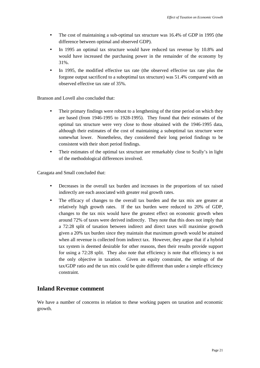- <span id="page-26-0"></span>• The cost of maintaining a sub-optimal tax structure was 16.4% of GDP in 1995 (the difference between optimal and observed GDP).
- In 1995 an optimal tax structure would have reduced tax revenue by 10.8% and would have increased the purchasing power in the remainder of the economy by 31%.
- In 1995, the modified effective tax rate (the observed effective tax rate plus the forgone output sacrificed to a suboptimal tax structure) was 51.4% compared with an observed effective tax rate of 35%.

Branson and Lovell also concluded that:

- Their primary findings were robust to a lengthening of the time period on which they are based (from 1946-1995 to 1928-1995). They found that their estimates of the optimal tax structure were very close to those obtained with the 1946-1995 data, although their estimates of the cost of maintaining a suboptimal tax structure were somewhat lower. Nonetheless, they considered their long period findings to be consistent with their short period findings.
- Their estimates of the optimal tax structure are remarkably close to Scully's in light of the methodological differences involved.

Caragata and Small concluded that:

- Decreases in the overall tax burden and increases in the proportions of tax raised indirectly are each associated with greater real growth rates.
- The efficacy of changes to the overall tax burden and the tax mix are greater at relatively high growth rates. If the tax burden were reduced to 20% of GDP, changes to the tax mix would have the greatest effect on economic growth when around 72% of taxes were derived indirectly. They note that this does not imply that a 72:28 split of taxation between indirect and direct taxes will maximise growth given a 20% tax burden since they maintain that maximum growth would be attained when all revenue is collected from indirect tax. However, they argue that if a hybrid tax system is deemed desirable for other reasons, then their results provide support for using a 72:28 split. They also note that efficiency is note that efficiency is not the only objective in taxation. Given an equity constraint, the settings of the tax/GDP ratio and the tax mix could be quite different than under a simple efficiency constraint.

## **Inland Revenue comment**

We have a number of concerns in relation to these working papers on taxation and economic growth.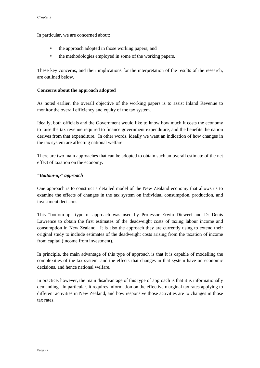<span id="page-27-0"></span>In particular, we are concerned about:

- the approach adopted in those working papers; and
- the methodologies employed in some of the working papers.

These key concerns, and their implications for the interpretation of the results of the research, are outlined below.

#### **Concerns about the approach adopted**

As noted earlier, the overall objective of the working papers is to assist Inland Revenue to monitor the overall efficiency and equity of the tax system.

Ideally, both officials and the Government would like to know how much it costs the economy to raise the tax revenue required to finance government expenditure, and the benefits the nation derives from that expenditure. In other words, ideally we want an indication of how changes in the tax system are affecting national welfare.

There are two main approaches that can be adopted to obtain such an overall estimate of the net effect of taxation on the economy.

#### *"Bottom-up" approach*

One approach is to construct a detailed model of the New Zealand economy that allows us to examine the effects of changes in the tax system on individual consumption, production, and investment decisions.

This "bottom-up" type of approach was used by Professor Erwin Diewert and Dr Denis Lawrence to obtain the first estimates of the deadweight costs of taxing labour income and consumption in New Zealand. It is also the approach they are currently using to extend their original study to include estimates of the deadweight costs arising from the taxation of income from capital (income from investment).

In principle, the main advantage of this type of approach is that it is capable of modelling the complexities of the tax system, and the effects that changes in that system have on economic decisions, and hence national welfare.

In practice, however, the main disadvantage of this type of approach is that it is informationally demanding. In particular, it requires information on the effective marginal tax rates applying to different activities in New Zealand, and how responsive those activities are to changes in those tax rates.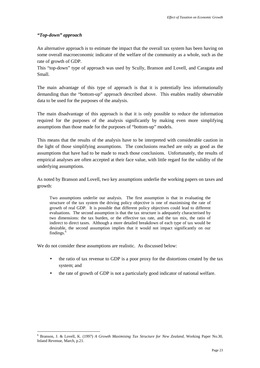#### <span id="page-28-0"></span>*"Top-down" approach*

 $\overline{a}$ 

An alternative approach is to estimate the impact that the overall tax system has been having on some overall macroeconomic indicator of the welfare of the community as a whole, such as the rate of growth of GDP.

This "top-down" type of approach was used by Scully, Branson and Lovell, and Caragata and Small.

The main advantage of this type of approach is that it is potentially less informationally demanding than the "bottom-up" approach described above. This enables readily observable data to be used for the purposes of the analysis.

The main disadvantage of this approach is that it is only possible to reduce the information required for the purposes of the analysis significantly by making even more simplifying assumptions than those made for the purposes of "bottom-up" models.

This means that the results of the analysis have to be interpreted with considerable caution in the light of those simplifying assumptions. The conclusions reached are only as good as the assumptions that have had to be made to reach those conclusions. Unfortunately, the results of empirical analyses are often accepted at their face value, with little regard for the validity of the underlying assumptions.

As noted by Branson and Lovell, two key assumptions underlie the working papers on taxes and growth:

Two assumptions underlie our analysis. The first assumption is that in evaluating the structure of the tax system the driving policy objective is one of maximising the rate of growth of real GDP. It is possible that different policy objectives could lead to different evaluations. The second assumption is that the tax structure is adequately characterised by two dimensions: the tax burden, or the effective tax rate, and the tax mix, the ratio of indirect to direct taxes. Although a more detailed breakdown of each type of tax would be desirable, the second assumption implies that it would not impact significantly on our findings. $<sup>6</sup>$ </sup>

We do not consider these assumptions are realistic. As discussed below:

- the ratio of tax revenue to GDP is a poor proxy for the distortions created by the tax system; and
- the rate of growth of GDP is not a particularly good indicator of national welfare.

<sup>6</sup> Branson, J. & Lovell, K. (1997) *A Growth Maximising Tax Structure for New Zealand*, Working Paper No.30, Inland Revenue, March, p.21.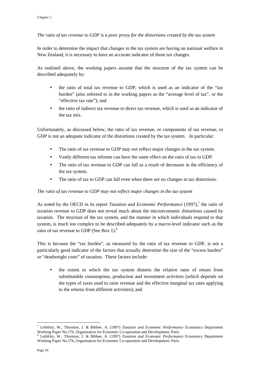#### *The ratio of tax revenue to GDP is a poor proxy for the distortions created by the tax system*

In order to determine the impact that changes in the tax system are having on national welfare in New Zealand, it is necessary to have an accurate indicator of those tax changes.

As outlined above, the working papers assume that the structure of the tax system can be described adequately by:

- the ratio of total tax revenue to GDP, which is used as an indicator of the "tax" burden" (also referred to in the working papers as the "average level of tax", or the "effective tax rate"); and
- the ratio of indirect tax revenue to direct tax revenue, which is used as an indicator of the tax mix.

Unfortunately, as discussed below, the ratio of tax revenue, or components of tax revenue, to GDP is not an adequate indicator of the distortions created by the tax system. In particular:

- The ratio of tax revenue to GDP may not reflect major changes in the tax system.
- Vastly different tax reforms can have the same effect on the ratio of tax to GDP.
- The ratio of tax revenue to GDP can fall as a result of decreases in the efficiency of the tax system.
- The ratio of tax to GDP can fall even when there are no changes in tax distortions.

#### *The ratio of tax revenue to GDP may not reflect major changes in the tax system*

As noted by the OECD in its report *Taxation and Economic Performance* (1997),<sup>7</sup> the ratio of taxation revenue to GDP does not reveal much about the microeconomic distortions caused by taxation. The structure of the tax system, and the manner in which individuals respond to that system, is much too complex to be described adequately by a macro-level indicator such as the ratio of tax revenue to GDP (See Box 1).<sup>8</sup>

This is because the "tax burden", as measured by the ratio of tax revenue to GDP, is not a particularly good indicator of the factors that actually determine the size of the "excess burden" or "deadweight costs" of taxation. These factors include:

• the extent to which the tax system distorts the relative rates of return from substitutable consumption, production and investment activities (which depends on the types of taxes used to raise revenue and the effective marginal tax rates applying to the returns from different activities); and

 $\overline{a}$ 

<sup>7</sup> Leibfritz, W., Thornton, J. & Bibbee, A. (1997) *Taxation and Economic Performance* Economics Department Working Paper No.176, Organisation for Economic Co-operation and Development, Paris.

<sup>8</sup> Leibfritz, W., Thornton, J. & Bibbee, A. (1997) *Taxation and Economic Performance* Economics Department Working Paper No.176, Organisation for Economic Co-operation and Development, Paris.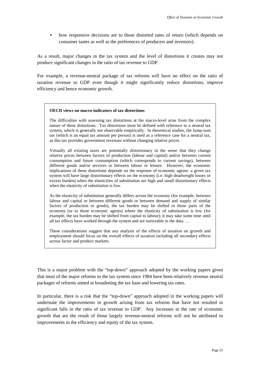• how responsive decisions are to those distorted rates of return (which depends on consumer tastes as well as the preferences of producers and investors).

As a result, major changes in the tax system and the level of distortions it creates may not produce significant changes in the ratio of tax revenue to GDP.

For example, a revenue-neutral package of tax reforms will have no effect on the ratio of taxation revenue to GDP even though it might significantly reduce distortions, improve efficiency and hence economic growth.

#### **OECD views on macro indicators of tax distortions**

The difficulties with assessing tax distortions at the macro-level arise from the complex nature of these distortions. Tax distortions must be defined with reference to a neutral tax system, which is generally not observable empirically. In theoretical studies, the lump-sum tax (which is an equal tax amount per person) is used as a reference case for a neutral tax, as this tax provides government revenues without changing relative prices.

Virtually all existing taxes are potentially distortionary in the sense that they change relative prices between factors of production (labour and capital) and/or between current consumption and future consumption (which corresponds to current savings), between different goods and/or services or between labour or leisure. However, the economic implications of these distortions depends on the response of economic agents: a given tax system will have large distortionary effects on the economy (i.e. high deadweight losses or excess burden) when the elasticities of substitution are high and small distortionary effects when the elasticity of substitution is low.

As the elasticity of substitution generally differs across the economy (for example, between labour and capital or between different goods or between demand and supply of similar factors of production or goods), the tax burden may be shifted to those parts of the economy (or to those economic agents) where the elasticity of substitution is low (for example, the tax burden may be shifted from capital to labour); it may take some time until all tax effects have worked through the system and are noticeable in the data. …

These considerations suggest that any analysis of the effects of taxation on growth and employment should focus on the overall effects of taxation including all secondary effects across factor and product markets.

This is a major problem with the "top-down" approach adopted by the working papers given that most of the major reforms to the tax system since 1984 have been relatively revenue neutral packages of reforms aimed at broadening the tax base and lowering tax rates.

In particular, there is a risk that the "top-down" approach adopted in the working papers will understate the improvements in growth arising from tax reforms that have not resulted in significant falls in the ratio of tax revenue to GDP. Any increases in the rate of economic growth that are the result of those largely revenue-neutral reforms will not be attributed to improvements in the efficiency and equity of the tax system.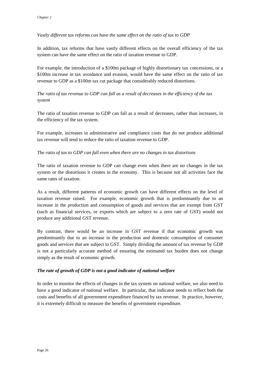#### <span id="page-31-0"></span>*Vastly different tax reforms can have the same effect on the ratio of tax to GDP*

In addition, tax reforms that have vastly different effects on the overall efficiency of the tax system can have the same effect on the ratio of taxation revenue to GDP.

For example, the introduction of a \$100m package of highly distortionary tax concessions, or a \$100m increase in tax avoidance and evasion, would have the same effect on the ratio of tax revenue to GDP as a \$100m tax cut package that considerably reduced distortions.

### *The ratio of tax revenue to GDP can fall as a result of decreases in the efficiency of the tax system*

The ratio of taxation revenue to GDP can fall as a result of decreases, rather than increases, in the efficiency of the tax system.

For example, increases in administrative and compliance costs that do not produce additional tax revenue will tend to reduce the ratio of taxation revenue to GDP.

#### *The ratio of tax to GDP can fall even when there are no changes in tax distortions*

The ratio of taxation revenue to GDP can change even when there are no changes in the tax system or the distortions it creates in the economy. This is because not all activities face the same rates of taxation.

As a result, different patterns of economic growth can have different effects on the level of taxation revenue raised. For example, economic growth that is predominantly due to an increase in the production and consumption of goods and services that are exempt from GST (such as financial services, or exports which are subject to a zero rate of GST) would not produce any additional GST revenue.

By contrast, there would be an increase in GST revenue if that economic growth was predominantly due to an increase in the production and domestic consumption of consumer goods and services that are subject to GST. Simply dividing the amount of tax revenue by GDP is not a particularly accurate method of ensuring the estimated tax burden does not change simply as the result of economic growth.

#### *The rate of growth of GDP is not a good indicator of national welfare*

In order to monitor the effects of changes in the tax system on national welfare, we also need to have a good indicator of national welfare. In particular, that indicator needs to reflect both the costs and benefits of all government expenditure financed by tax revenue. In practice, however, it is extremely difficult to measure the benefits of government expenditure.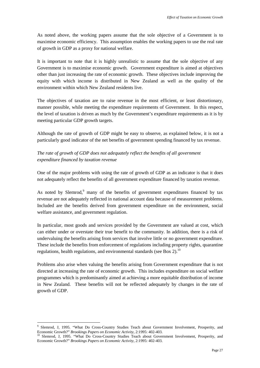As noted above, the working papers assume that the sole objective of a Government is to maximise economic efficiency. This assumption enables the working papers to use the real rate of growth in GDP as a proxy for national welfare.

It is important to note that it is highly unrealistic to assume that the sole objective of any Government is to maximise economic growth. Government expenditure is aimed at objectives other than just increasing the rate of economic growth. These objectives include improving the equity with which income is distributed in New Zealand as well as the quality of the environment within which New Zealand residents live.

The objectives of taxation are to raise revenue in the most efficient, or least distortionary, manner possible, while meeting the expenditure requirements of Government. In this respect, the level of taxation is driven as much by the Government's expenditure requirements as it is by meeting particular GDP growth targets.

Although the rate of growth of GDP might be easy to observe, as explained below, it is not a particularly good indicator of the net benefits of government spending financed by tax revenue.

### *The rate of growth of GDP does not adequately reflect the benefits of all government expenditure financed by taxation revenue*

One of the major problems with using the rate of growth of GDP as an indicator is that it does not adequately reflect the benefits of all government expenditure financed by taxation revenue.

As noted by Slemrod,<sup>9</sup> many of the benefits of government expenditures financed by tax revenue are not adequately reflected in national account data because of measurement problems. Included are the benefits derived from government expenditure on the environment, social welfare assistance, and government regulation.

In particular, most goods and services provided by the Government are valued at cost, which can either under or overstate their true benefit to the community. In addition, there is a risk of undervaluing the benefits arising from services that involve little or no government expenditure. These include the benefits from enforcement of regulations including property rights, quarantine regulations, health regulations, and environmental standards (see Box 2).<sup>10</sup>

Problems also arise when valuing the benefits arising from Government expenditure that is not directed at increasing the rate of economic growth. This includes expenditure on social welfare programmes which is predominantly aimed at achieving a more equitable distribution of income in New Zealand. These benefits will not be reflected adequately by changes in the rate of growth of GDP.

 $\overline{a}$ 

<sup>9</sup> Slemrod, J, 1995. "What Do Cross-Country Studies Teach about Government Involvement, Prosperity, and Economic Growth?" *Brookings Papers on Economic Activity*, 2:1995: 402-403.<br><sup>10</sup> Slemrod, J, 1995. "What Do Cross-Country Studies Teach about Government Involvement, Prosperity, and

Economic Growth?" *Brookings Papers on Economic Activity*, 2:1995: 402-403.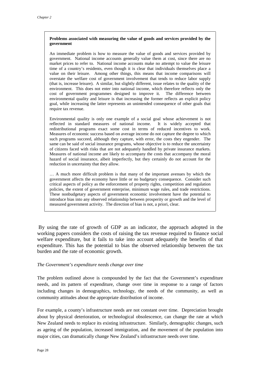#### **Problems associated with measuring the value of goods and services provided by the government**

An immediate problem is how to measure the value of goods and services provided by government. National income accounts generally value them at cost, since there are no market prices to refer to. National income accounts make no attempt to value the leisure time of a country's residents, even though it is clear that individuals themselves place a value on their leisure. Among other things, this means that income comparisons will overstate the welfare cost of government involvement that tends to reduce labor supply (that is, increase leisure). A similar, but slightly different, issue relates to the quality of the environment. This does not enter into national income, which therefore reflects only the cost of government programmes designed to improve it. The difference between environmental quality and leisure is that increasing the former reflects an explicit policy goal, while increasing the latter represents an unintended consequence of other goals that require tax revenue.

Environmental quality is only one example of a social goal whose achievement is not reflected in standard measures of national income. It is widely accepted that redistributional programs exact some cost in terms of reduced incentives to work. Measures of economic success based on average income do not capture the degree to which such programs succeed, although they capture, with error, the costs they engender. The same can be said of social insurance programs, whose objective is to reduce the uncertainty of citizens faced with risks that are not adequately handled by private insurance markets. Measures of national income are likely to accompany the costs that accompany the moral hazard of social insurance, albeit imperfectly, but they certainly do not account for the reduction in uncertainty that they allow.

… A much more difficult problem is that many of the important avenues by which the government affects the economy have little or no budgetary consequence. Consider such critical aspects of policy as the enforcement of property rights, competition and regulation policies, the extent of government enterprise, minimum wage rules, and trade restrictions. These nonbudgetary aspects of government economic involvement have the potential to introduce bias into any observed relationship between prosperity or growth and the level of measured government activity. The direction of bias is not, a priori, clear.

 By using the rate of growth of GDP as an indicator, the approach adopted in the working papers considers the costs of raising the tax revenue required to finance social welfare expenditure, but it fails to take into account adequately the benefits of that expenditure. This has the potential to bias the observed relationship between the tax burden and the rate of economic growth.

#### *The Government's expenditure needs change over time*

The problem outlined above is compounded by the fact that the Government's expenditure needs, and its pattern of expenditure, change over time in response to a range of factors including changes in demographics, technology, the needs of the community, as well as community attitudes about the appropriate distribution of income.

For example, a county's infrastructure needs are not constant over time. Depreciation brought about by physical deterioration, or technological obsolescence, can change the rate at which New Zealand needs to replace its existing infrastructure. Similarly, demographic changes, such as ageing of the population, increased immigration, and the movement of the population into major cities, can dramatically change New Zealand's infrastructure needs over time.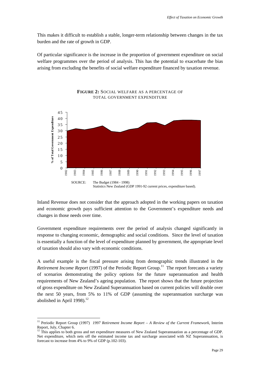This makes it difficult to establish a stable, longer-term relationship between changes in the tax burden and the rate of growth in GDP.

Of particular significance is the increase in the proportion of government expenditure on social welfare programmes over the period of analysis. This has the potential to exacerbate the bias arising from excluding the benefits of social welfare expenditure financed by taxation revenue.



#### **FIGURE 2:** SOCIAL WELFARE AS A PERCENTAGE OF TOTAL GOVERNMENT EXPENDITURE

Inland Revenue does not consider that the approach adopted in the working papers on taxation and economic growth pays sufficient attention to the Government's expenditure needs and changes in those needs over time.

Government expenditure requirements over the period of analysis changed significantly in response to changing economic, demographic and social conditions. Since the level of taxation is essentially a function of the level of expenditure planned by government, the appropriate level of taxation should also vary with economic conditions.

A useful example is the fiscal pressure arising from demographic trends illustrated in the *Retirement Income Report* (1997) of the Periodic Report Group.<sup>11</sup> The report forecasts a variety of scenarios demonstrating the policy options for the future superannuation and health requirements of New Zealand's ageing population. The report shows that the future projection of gross expenditure on New Zealand Superannuation based on current policies will double over the next 50 years, from 5% to 11% of GDP (assuming the superannuation surcharge was abolished in April  $1998$ ).<sup>12</sup>

 $\overline{a}$ 

<sup>11</sup> Periodic Report Group (1997) *1997 Retirement Income Report – A Review of the Current Framework*, Interim Report, July, Chapter 6.

<sup>12</sup> This applies to both gross and net expenditure measures of New Zealand Superannaution as a percentage of GDP. Net expenditure, which nets off the estimated income tax and surcharge associated with NZ Superannuation, is forecast to increase from 4% to 9% of GDP (p.102-103).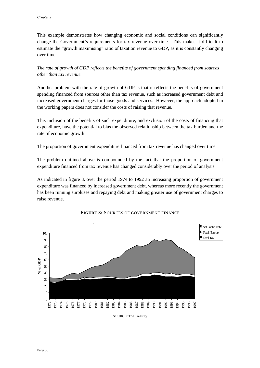This example demonstrates how changing economic and social conditions can significantly change the Government's requirements for tax revenue over time. This makes it difficult to estimate the "growth maximising" ratio of taxation revenue to GDP, as it is constantly changing over time.

*The rate of growth of GDP reflects the benefits of government spending financed from sources other than tax revenue*

Another problem with the rate of growth of GDP is that it reflects the benefits of government spending financed from sources other than tax revenue, such as increased government debt and increased government charges for those goods and services. However, the approach adopted in the working papers does not consider the costs of raising that revenue.

This inclusion of the benefits of such expenditure, and exclusion of the costs of financing that expenditure, have the potential to bias the observed relationship between the tax burden and the rate of economic growth.

The proportion of government expenditure financed from tax revenue has changed over time

The problem outlined above is compounded by the fact that the proportion of government expenditure financed from tax revenue has changed considerably over the period of analysis.

As indicated in figure 3, over the period 1974 to 1992 an increasing proportion of government expenditure was financed by increased government debt, whereas more recently the government has been running surpluses and repaying debt and making greater use of government charges to raise revenue.





SOURCE: The Treasury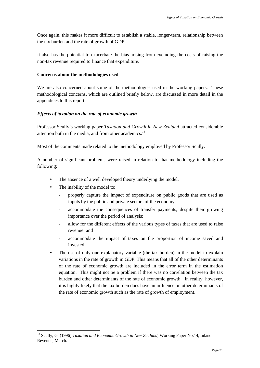Once again, this makes it more difficult to establish a stable, longer-term, relationship between the tax burden and the rate of growth of GDP.

It also has the potential to exacerbate the bias arising from excluding the costs of raising the non-tax revenue required to finance that expenditure.

#### **Concerns about the methodologies used**

We are also concerned about some of the methodologies used in the working papers. These methodological concerns, which are outlined briefly below, are discussed in more detail in the appendices to this report.

#### *Effects of taxation on the rate of economic growth*

Professor Scully's working paper *Taxation and Growth in New Zealand* attracted considerable attention both in the media, and from other academics.<sup>13</sup>

Most of the comments made related to the methodology employed by Professor Scully.

A number of significant problems were raised in relation to that methodology including the following:

- The absence of a well developed theory underlying the model.
- The inability of the model to:

- properly capture the impact of expenditure on public goods that are used as inputs by the public and private sectors of the economy;
- accommodate the consequences of transfer payments, despite their growing importance over the period of analysis;
- allow for the different effects of the various types of taxes that are used to raise revenue; and
- accommodate the impact of taxes on the proportion of income saved and invested.
- The use of only one explanatory variable (the tax burden) in the model to explain variations in the rate of growth in GDP. This means that all of the other determinants of the rate of economic growth are included in the error term in the estimation equation. This might not be a problem if there was no correlation between the tax burden and other determinants of the rate of economic growth. In reality, however, it is highly likely that the tax burden does have an influence on other determinants of the rate of economic growth such as the rate of growth of employment.

<sup>&</sup>lt;sup>13</sup> Scully, G. (1996) *Taxation and Economic Growth in New Zealand*, Working Paper No.14, Inland Revenue, March.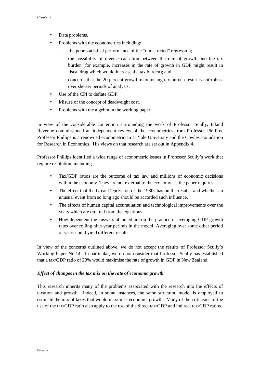- Data problems.
- Problems with the econometrics including:
	- the poor statistical performance of the "unrestricted" regression;
	- the possibility of reverse causation between the rate of growth and the tax burden (for example, increases in the rate of growth in GDP might result in fiscal drag which would increase the tax burden); and
	- concerns that the 20 percent growth maximising tax burden result is not robust over shorter periods of analysis.
- Use of the CPI to deflate GDP.
- Misuse of the concept of deadweight cost.
- Problems with the algebra in the working paper.

In view of the considerable contention surrounding the work of Professor Scully, Inland Revenue commissioned an independent review of the econometrics from Professor Phillips. Professor Phillips is a renowned econometrician at Yale University and the Cowles Foundation for Research in Economics. His views on that research are set out in Appendix 4.

Professor Phillips identified a wide range of econometric issues in Professor Scully's work that require resolution, including:

- Tax/GDP ratios are the outcome of tax law and millions of economic decisions within the economy. They are not external to the economy, as the paper requires.
- The effect that the Great Depression of the 1930s has on the results, and whether an unusual event from so long ago should be accorded such influence.
- The effects of human capital accumulation and technological improvements over the years which are omitted from the equations.
- How dependent the answers obtained are on the practice of averaging GDP growth rates over rolling nine-year periods in the model. Averaging over some other period of years could yield different results.

In view of the concerns outlined above, we do not accept the results of Professor Scully's Working Paper No.14. In particular, we do not consider that Professor Scully has established that a tax/GDP ratio of 20% would maximise the rate of growth in GDP in New Zealand.

#### *Effect of changes in the tax mix on the rate of economic growth*

This research inherits many of the problems associated with the research into the effects of taxation and growth. Indeed, in some instances, the same structural model is employed to estimate the mix of taxes that would maximise economic growth. Many of the criticisms of the use of the tax/GDP ratio also apply to the use of the direct tax/GDP and indirect tax/GDP ratios.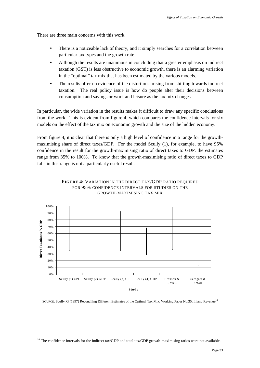There are three main concerns with this work.

- There is a noticeable lack of theory, and it simply searches for a correlation between particular tax types and the growth rate.
- Although the results are unanimous in concluding that a greater emphasis on indirect taxation (GST) is less obstructive to economic growth, there is an alarming variation in the "optimal" tax mix that has been estimated by the various models.
- The results offer no evidence of the distortions arising from shifting towards indirect taxation. The real policy issue is how do people alter their decisions between consumption and savings or work and leisure as the tax mix changes.

In particular, the wide variation in the results makes it difficult to draw any specific conclusions from the work. This is evident from figure 4, which compares the confidence intervals for six models on the effect of the tax mix on economic growth and the size of the hidden economy.

From figure 4, it is clear that there is only a high level of confidence in a range for the growthmaximising share of direct taxes/GDP. For the model Scully (1), for example, to have 95% confidence in the result for the growth-maximising ratio of direct taxes to GDP, the estimates range from 35% to 100%. To know that the growth-maximising ratio of direct taxes to GDP falls in this range is not a particularly useful result.



#### **FIGURE 4:** VARIATION IN THE DIRECT TAX/GDP RATIO REQUIRED FOR 95% CONFIDENCE INTERVALS FOR STUDIES ON THE GROWTH-MAXIMISING TAX MIX

SOURCE: Scully, G (1997) Reconciling Different Estimates of the Optimal Tax Mix, Working Paper No.35, Inland Revenue<sup>14</sup>

 $14$  The confidence intervals for the indirect tax/GDP and total tax/GDP growth-maximising ratios were not available.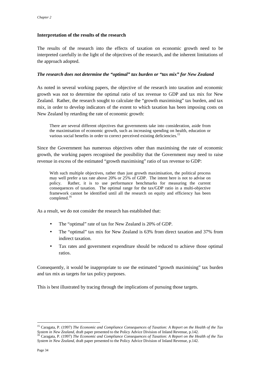#### **Interpretation of the results of the research**

The results of the research into the effects of taxation on economic growth need to be interpreted carefully in the light of the objectives of the research, and the inherent limitations of the approach adopted.

#### *The research does not determine the "optimal" tax burden or "tax mix" for New Zealand*

As noted in several working papers, the objective of the research into taxation and economic growth was not to determine the optimal ratio of tax revenue to GDP and tax mix for New Zealand. Rather, the research sought to calculate the "growth maximising" tax burden, and tax mix, in order to develop indicators of the extent to which taxation has been imposing costs on New Zealand by retarding the rate of economic growth:

There are several different objectives that governments take into consideration, aside from the maximisation of economic growth, such as increasing spending on health, education or various social benefits in order to correct perceived existing deficiencies.<sup>15</sup>

Since the Government has numerous objectives other than maximising the rate of economic growth, the working papers recognised the possibility that the Government may need to raise revenue in excess of the estimated "growth maximising" ratio of tax revenue to GDP:

With such multiple objectives, rather than just growth maximisation, the political process may well prefer a tax rate above 20% or 25% of GDP. The intent here is not to advise on policy. Rather, it is to use performance benchmarks for measuring the current consequences of taxation. The optimal range for the tax/GDP ratio in a multi-objective framework cannot be identified until all the research on equity and efficiency has been completed.<sup>16</sup>

As a result, we do not consider the research has established that:

- The "optimal" rate of tax for New Zealand is 20% of GDP.
- The "optimal" tax mix for New Zealand is 63% from direct taxation and 37% from indirect taxation.
- Tax rates and government expenditure should be reduced to achieve those optimal ratios.

Consequently, it would be inappropriate to use the estimated "growth maximising" tax burden and tax mix as targets for tax policy purposes.

This is best illustrated by tracing through the implications of pursuing those targets.

<sup>15</sup> Caragata, P. (1997) *The Economic and Compliance Consequences of Taxation: A Report on the Health of the Tax* System in New Zealand, draft paper presented to the Policy Advice Division of Inland Revenue, p.142.<br><sup>16</sup> Caragata, P. (1997) *The Economic and Compliance Consequences of Taxation: A Report on the Health of the Tax* 

*System in New Zealand*, draft paper presented to the Policy Advice Division of Inland Revenue, p.142.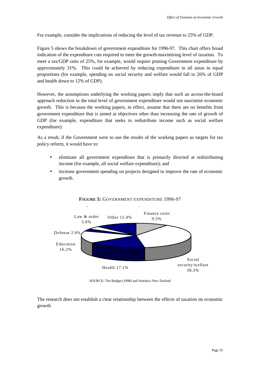For example, consider the implications of reducing the level of tax revenue to 25% of GDP.

Figure 5 shows the breakdown of government expenditure for 1996-97. This chart offers broad indication of the expenditure cuts required to meet the growth-maximising level of taxation. To meet a tax/GDP ratio of 25%, for example, would require pruning Government expenditure by approximately 31%. This could be achieved by reducing expenditure in all areas in equal proportions (for example, spending on social security and welfare would fall to 26% of GDP and health down to 12% of GDP).

However, the assumptions underlying the working papers imply that such an across-the-board approach reduction in the total level of government expenditure would not maximise economic growth. This is because the working papers, in effect, assume that there are no benefits from government expenditure that is aimed at objectives other than increasing the rate of growth of GDP (for example, expenditure that seeks to redistribute income such as social welfare expenditure).

As a result, if the Government were to use the results of the working papers as targets for tax policy reform, it would have to:

- eliminate all government expenditure that is primarily directed at redistributing income (for example, all social welfare expenditure); and
- increase government spending on projects designed to improve the rate of economic growth.



**FIGURE 5:** GOVERNMENT EXPENDITURE 1996-97

SOURCE: The Budget (1998) and Statistics New Zealand

The research does not establish a clear relationship between the effects of taxation on economic growth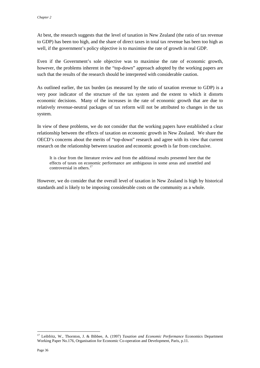At best, the research suggests that the level of taxation in New Zealand (the ratio of tax revenue to GDP) has been too high, and the share of direct taxes in total tax revenue has been too high as well, if the government's policy objective is to maximise the rate of growth in real GDP.

Even if the Government's sole objective was to maximise the rate of economic growth, however, the problems inherent in the "top-down" approach adopted by the working papers are such that the results of the research should be interpreted with considerable caution.

As outlined earlier, the tax burden (as measured by the ratio of taxation revenue to GDP) is a very poor indicator of the structure of the tax system and the extent to which it distorts economic decisions. Many of the increases in the rate of economic growth that are due to relatively revenue-neutral packages of tax reform will not be attributed to changes in the tax system.

In view of these problems, we do not consider that the working papers have established a clear relationship between the effects of taxation on economic growth in New Zealand. We share the OECD's concerns about the merits of "top-down" research and agree with its view that current research on the relationship between taxation and economic growth is far from conclusive.

It is clear from the literature review and from the additional results presented here that the effects of taxes on economic performance are ambiguous in some areas and unsettled and controversial in others.<sup>17</sup>

However, we do consider that the overall level of taxation in New Zealand is high by historical standards and is likely to be imposing considerable costs on the community as a whole.

<sup>17</sup> Leibfritz, W., Thornton, J. & Bibbee, A. (1997) *Taxation and Economic Performance* Economics Department Working Paper No.176, Organisation for Economic Co-operation and Development, Paris, p.11.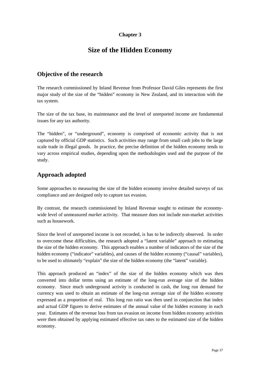### **Chapter 3**

# **Size of the Hidden Economy**

## **Objective of the research**

The research commissioned by Inland Revenue from Professor David Giles represents the first major study of the size of the "hidden" economy in New Zealand, and its interaction with the tax system.

The size of the tax base, its maintenance and the level of unreported income are fundamental issues for any tax authority.

The "hidden", or "underground", economy is comprised of economic activity that is not captured by official GDP statistics. Such activities may range from small cash jobs to the large scale trade in illegal goods. In practice, the precise definition of the hidden economy tends to vary across empirical studies, depending upon the methodologies used and the purpose of the study.

# **Approach adopted**

Some approaches to measuring the size of the hidden economy involve detailed surveys of tax compliance and are designed only to capture tax evasion.

By contrast, the research commissioned by Inland Revenue sought to estimate the economywide level of unmeasured *market* activity. That measure does not include non-market activities such as housework.

Since the level of unreported income is not recorded, is has to be indirectly observed. In order to overcome these difficulties, the research adopted a "latent variable" approach to estimating the size of the hidden economy. This approach enables a number of indicators of the size of the hidden economy ("indicator" variables), and causes of the hidden economy ("causal" variables), to be used to ultimately "explain" the size of the hidden economy (the "latent" variable).

This approach produced an "index" of the size of the hidden economy which was then converted into dollar terms using an estimate of the long-run average size of the hidden economy. Since much underground activity is conducted in cash, the long run demand for currency was used to obtain an estimate of the long-run average size of the hidden economy expressed as a proportion of real. This long run ratio was then used in conjunction that index and actual GDP figures to derive estimates of the annual value of the hidden economy in each year. Estimates of the revenue loss from tax evasion on income from hidden economy activities were then obtained by applying estimated effective tax rates to the estimated size of the hidden economy.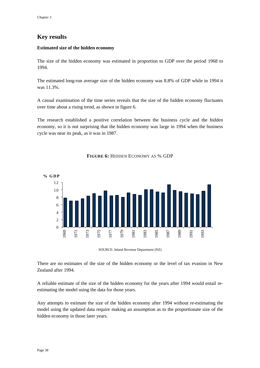# **Key results**

#### **Estimated size of the hidden economy**

The size of the hidden economy was estimated in proportion to GDP over the period 1968 to 1994.

The estimated long-run average size of the hidden economy was 8.8% of GDP while in 1994 it was 11.3%.

A casual examination of the time series reveals that the size of the hidden economy fluctuates over time about a rising trend, as shown in figure 6.

The research established a positive correlation between the business cycle and the hidden economy, so it is not surprising that the hidden economy was large in 1994 when the business cycle was near its peak, as it was in 1987.



#### **FIGURE 6:** HIDDEN ECONOMY AS % GDP

SOURCE: Inland Revenue Department (NZ)

There are no estimates of the size of the hidden economy or the level of tax evasion in New Zealand after 1994.

A reliable estimate of the size of the hidden economy for the years after 1994 would entail reestimating the model using the data for those years.

Any attempts to estimate the size of the hidden economy after 1994 without re-estimating the model using the updated data require making an assumption as to the proportionate size of the hidden economy in those later years.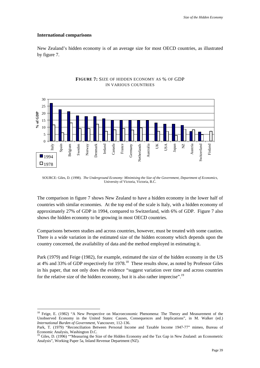#### **International comparisons**

 $\overline{a}$ 

New Zealand's hidden economy is of an average size for most OECD countries, as illustrated by figure 7.



#### **FIGURE 7:** SIZE OF HIDDEN ECONOMY AS % OF GDP IN VARIOUS COUNTRIES

SOURCE: Giles, D. (1998). *The Underground Economy: Minimising the Size of the Government, Department of Economics,* University of Victoria, Victoria, B.C.

The comparison in figure 7 shows New Zealand to have a hidden economy in the lower half of countries with similar economies. At the top end of the scale is Italy, with a hidden economy of approximately 27% of GDP in 1994, compared to Switzerland, with 6% of GDP. Figure 7 also shows the hidden economy to be growing in most OECD countries.

Comparisons between studies and across countries, however, must be treated with some caution. There is a wide variation in the estimated size of the hidden economy which depends upon the country concerned, the availability of data and the method employed in estimating it.

Park (1979) and Feige (1982), for example, estimated the size of the hidden economy in the US at 4% and 33% of GDP respectively for 1978.<sup>18</sup> These results show, as noted by Professor Giles in his paper, that not only does the evidence "suggest variation over time and across countries for the relative size of the hidden economy, but it is also rather imprecise".<sup>19</sup>

<sup>&</sup>lt;sup>18</sup> Feige, E. (1982) "A New Perspective on Macroeconomic Phenomena: The Theory and Measurement of the Unobserved Economy in the United States: Causes, Consequences and Implications", in M. Walker (ed.) *International Burden of Government*, Vancouver, 112-136.

Park, T. (1979) "Reconciliation Between Personal Income and Taxable Income 1947-77" mimeo, Bureau of Economic Analysis, Washington D.C.

<sup>19</sup> Giles, D. (1996) ""Measuring the Size of the Hidden Economy and the Tax Gap in New Zealand: an Econometric Analysis", Working Paper 5a, Inland Revenue Department (NZ).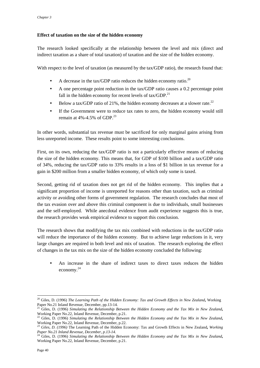#### **Effect of taxation on the size of the hidden economy**

The research looked specifically at the relationship between the level and mix (direct and indirect taxation as a share of total taxation) of taxation and the size of the hidden economy.

With respect to the level of taxation (as measured by the tax/GDP ratio), the research found that:

- A decrease in the tax/GDP ratio reduces the hidden economy ratio.<sup>20</sup>
- A one percentage point reduction in the tax/GDP ratio causes a 0.2 percentage point fall in the hidden economy for recent levels of  $tax/GDP<sup>21</sup>$
- Below a tax/GDP ratio of 21%, the hidden economy decreases at a slower rate.<sup>22</sup>
- If the Government were to reduce tax rates to zero, the hidden economy would still remain at  $4\% -4.5\%$  of GDP.<sup>23</sup>

In other words, substantial tax revenue must be sacrificed for only marginal gains arising from less unreported income. These results point to some interesting conclusions.

First, on its own, reducing the tax/GDP ratio is not a particularly effective means of reducing the size of the hidden economy. This means that, for GDP of \$100 billion and a tax/GDP ratio of 34%, reducing the tax/GDP ratio to 33% results in a loss of \$1 billion in tax revenue for a gain in \$200 million from a smaller hidden economy, of which only some is taxed.

Second, getting rid of taxation does not get rid of the hidden economy. This implies that a significant proportion of income is unreported for reasons other than taxation, such as criminal activity or avoiding other forms of government regulation. The research concludes that most of the tax evasion over and above this criminal component is due to individuals, small businesses and the self-employed. While anecdotal evidence from audit experience suggests this is true, the research provides weak empirical evidence to support this conclusion.

The research shows that modifying the tax mix combined with reductions in the tax/GDP ratio will reduce the importance of the hidden economy. But to achieve large reductions in it, very large changes are required in both level and mix of taxation. The research exploring the effect of changes in the tax mix on the size of the hidden economy concluded the following:

• An increase in the share of indirect taxes to direct taxes reduces the hidden economy. 24

<sup>20</sup> Giles, D. (1996) *The Learning Path of the Hidden Economy: Tax and Growth Effects in New Zealand***,** Working Paper No.21 Inland Revenue, December, pp.13-14.

<sup>21</sup> Giles, D. (1996) *Simulating the Relationship Between the Hidden Economy and the Tax Mix in New Zealand***,**

Working Paper No.22, Inland Revenue, December, p.21.<br><sup>22</sup> Giles, D. (1996) *Simulating the Relationship Between the Hidden Economy and the Tax Mix in New Zealand***,**<br>Working Paper No.22, Inland Revenue, December, p.22.

<sup>&</sup>lt;sup>23</sup> Giles, D. (1996) The Learning Path of the Hidden Economy: Tax and Growth Effects in New Zealand, *Working Paper No.21 Inland Revenue, December, p.13-14.*

<sup>24</sup> Giles, D. (1996) *Simulating the Relationship Between the Hidden Economy and the Tax Mix in New Zealand***,** Working Paper No.22, Inland Revenue, December, p.21.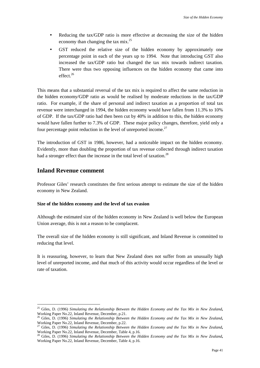- Reducing the tax/GDP ratio is more effective at decreasing the size of the hidden economy than changing the tax  $\text{mix}^{25}$
- GST reduced the relative size of the hidden economy by approximately one percentage point in each of the years up to 1994. Note that introducing GST also increased the tax/GDP ratio but changed the tax mix towards indirect taxation. There were thus two opposing influences on the hidden economy that came into effect $^{26}$

This means that a substantial reversal of the tax mix is required to affect the same reduction in the hidden economy/GDP ratio as would be realised by moderate reductions in the tax/GDP ratio. For example, if the share of personal and indirect taxation as a proportion of total tax revenue were interchanged in 1994, the hidden economy would have fallen from 11.3% to 10% of GDP. If the tax/GDP ratio had then been cut by 40% in addition to this, the hidden economy would have fallen further to 7.3% of GDP. These major policy changes, therefore, yield only a four percentage point reduction in the level of unreported income. $27$ 

The introduction of GST in 1986, however, had a noticeable impact on the hidden economy. Evidently, more than doubling the proportion of tax revenue collected through indirect taxation had a stronger effect than the increase in the total level of taxation.<sup>28</sup>

### **Inland Revenue comment**

 $\overline{a}$ 

Professor Giles' research constitutes the first serious attempt to estimate the size of the hidden economy in New Zealand.

#### **Size of the hidden economy and the level of tax evasion**

Although the estimated size of the hidden economy in New Zealand is well below the European Union average, this is not a reason to be complacent.

The overall size of the hidden economy is still significant, and Inland Revenue is committed to reducing that level.

It is reassuring, however, to learn that New Zealand does not suffer from an unusually high level of unreported income, and that much of this activity would occur regardless of the level or rate of taxation.

<sup>25</sup> Giles, D. (1996) *Simulating the Relationship Between the Hidden Economy and the Tax Mix in New Zealand***,**

Working Paper No.22, Inland Revenue, December, p.21.<br><sup>26</sup> Giles, D. (1996) *Simulating the Relationship Between the Hidden Economy and the Tax Mix in New Zealand***,**<br>Working Paper No.22, Inland Revenue, December, p.22.

<sup>&</sup>lt;sup>27</sup> Giles, D. (1996) *Simulating the Relationship Between the Hidden Economy and the Tax Mix in New Zealand*, Working Paper No.22, Inland Revenue, December, Table 4, p.16.<br><sup>28</sup> Giles, D. (1996) *Simulating the Pelationshi* 

Giles, D. (1996) *Simulating the Relationship Between the Hidden Economy and the Tax Mix in New Zealand*, Working Paper No.22, Inland Revenue, December, Table 4, p.16.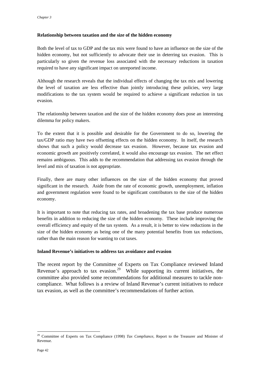#### **Relationship between taxation and the size of the hidden economy**

Both the level of tax to GDP and the tax mix were found to have an influence on the size of the hidden economy, but not sufficiently to advocate their use in deterring tax evasion. This is particularly so given the revenue loss associated with the necessary reductions in taxation required to have any significant impact on unreported income.

Although the research reveals that the individual effects of changing the tax mix and lowering the level of taxation are less effective than jointly introducing these policies, very large modifications to the tax system would be required to achieve a significant reduction in tax evasion.

The relationship between taxation and the size of the hidden economy does pose an interesting dilemma for policy makers.

To the extent that it is possible and desirable for the Government to do so, lowering the tax/GDP ratio may have two offsetting effects on the hidden economy. In itself, the research shows that such a policy would decrease tax evasion. However, because tax evasion and economic growth are positively correlated, it would also encourage tax evasion. The net effect remains ambiguous. This adds to the recommendation that addressing tax evasion through the level and mix of taxation is not appropriate.

Finally, there are many other influences on the size of the hidden economy that proved significant in the research. Aside from the rate of economic growth, unemployment, inflation and government regulation were found to be significant contributors to the size of the hidden economy.

It is important to note that reducing tax rates, and broadening the tax base produce numerous benefits in addition to reducing the size of the hidden economy. These include improving the overall efficiency and equity of the tax system. As a result, it is better to view reductions in the size of the hidden economy as being one of the many potential benefits from tax reductions, rather than the main reason for wanting to cut taxes.

#### **Inland Revenue's initiatives to address tax avoidance and evasion**

The recent report by the Committee of Experts on Tax Compliance reviewed Inland Revenue's approach to tax evasion.<sup>29</sup> While supporting its current initiatives, the committee also provided some recommendations for additional measures to tackle noncompliance. What follows is a review of Inland Revenue's current initiatives to reduce tax evasion, as well as the committee's recommendations of further action.

<sup>29</sup> Committee of Experts on Tax Compliance (1998) *Tax Compliance*, Report to the Treasurer and Minister of Revenue.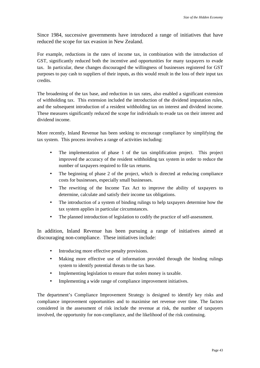Since 1984, successive governments have introduced a range of initiatives that have reduced the scope for tax evasion in New Zealand.

For example, reductions in the rates of income tax, in combination with the introduction of GST, significantly reduced both the incentive and opportunities for many taxpayers to evade tax. In particular, these changes discouraged the willingness of businesses registered for GST purposes to pay cash to suppliers of their inputs, as this would result in the loss of their input tax credits.

The broadening of the tax base, and reduction in tax rates, also enabled a significant extension of withholding tax. This extension included the introduction of the dividend imputation rules, and the subsequent introduction of a resident withholding tax on interest and dividend income. These measures significantly reduced the scope for individuals to evade tax on their interest and dividend income.

More recently, Inland Revenue has been seeking to encourage compliance by simplifying the tax system. This process involves a range of activities including:

- The implementation of phase 1 of the tax simplification project. This project improved the accuracy of the resident withholding tax system in order to reduce the number of taxpayers required to file tax returns.
- The beginning of phase 2 of the project, which is directed at reducing compliance costs for businesses, especially small businesses.
- The rewriting of the Income Tax Act to improve the ability of taxpayers to determine, calculate and satisfy their income tax obligations.
- The introduction of a system of binding rulings to help taxpayers determine how the tax system applies in particular circumstances.
- The planned introduction of legislation to codify the practice of self-assessment.

In addition, Inland Revenue has been pursuing a range of initiatives aimed at discouraging non-compliance. These initiatives include:

- Introducing more effective penalty provisions.
- Making more effective use of information provided through the binding rulings system to identify potential threats to the tax base.
- Implementing legislation to ensure that stolen money is taxable.
- Implementing a wide range of compliance improvement initiatives.

The department's Compliance Improvement Strategy is designed to identify key risks and compliance improvement opportunities and to maximise net revenue over time. The factors considered in the assessment of risk include the revenue at risk, the number of taxpayers involved, the opportunity for non-compliance, and the likelihood of the risk continuing.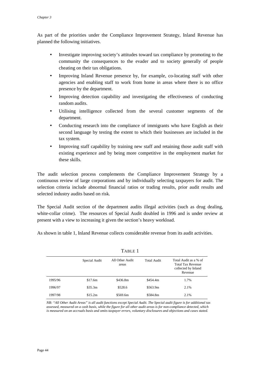As part of the priorities under the Compliance Improvement Strategy, Inland Revenue has planned the following initiatives.

- Investigate improving society's attitudes toward tax compliance by promoting to the community the consequences to the evader and to society generally of people cheating on their tax obligations.
- Improving Inland Revenue presence by, for example, co-locating staff with other agencies and enabling staff to work from home in areas where there is no office presence by the department.
- Improving detection capability and investigating the effectiveness of conducting random audits.
- Utilising intelligence collected from the several customer segments of the department.
- Conducting research into the compliance of immigrants who have English as their second language by testing the extent to which their businesses are included in the tax system.
- Improving staff capability by training new staff and retaining those audit staff with existing experience and by being more competitive in the employment market for these skills.

The audit selection process complements the Compliance Improvement Strategy by a continuous review of large corporations and by individually selecting taxpayers for audit. The selection criteria include abnormal financial ratios or trading results, prior audit results and selected industry audits based on risk.

The Special Audit section of the department audits illegal activities (such as drug dealing, white-collar crime). The resources of Special Audit doubled in 1996 and is under review at present with a view to increasing it given the section's heavy workload.

As shown in table 1, Inland Revenue collects considerable revenue from its audit activities.

| .       |               |                          |                    |                                                                                     |
|---------|---------------|--------------------------|--------------------|-------------------------------------------------------------------------------------|
|         | Special Audit | All Other Audit<br>areas | <b>Total Audit</b> | Total Audit as a % of<br><b>Total Tax Revenue</b><br>collected by Inland<br>Revenue |
| 1995/96 | \$17.6m       | \$436.8m                 | \$454.4m           | 1.7%                                                                                |
| 1996/97 | \$35.3m       | \$528.6                  | \$563.9m           | 2.1%                                                                                |
| 1997/98 | \$15.2m       | \$569.6m                 | \$584.8m           | 2.1%                                                                                |

TABLE 1

*NB: "All Other Audit Areas" is all audit functions except Special Audit. The Special audit figure is for additional tax assessed, measured on a cash basis, while the figure for all other audit areas is for non-compliance detected, which is measured on an accruals basis and omits taxpayer errors, voluntary disclosures and objections and cases stated.*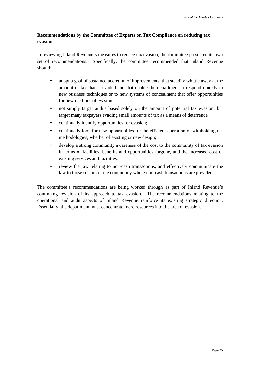### **Recommendations by the Committee of Experts on Tax Compliance on reducing tax evasion**

In reviewing Inland Revenue's measures to reduce tax evasion, the committee presented its own set of recommendations. Specifically, the committee recommended that Inland Revenue should:

- adopt a goal of sustained accretion of improvements, that steadily whittle away at the amount of tax that is evaded and that enable the department to respond quickly to new business techniques or to new systems of concealment that offer opportunities for new methods of evasion;
- not simply target audits based solely on the amount of potential tax evasion, but target many taxpayers evading small amounts of tax as a means of deterrence;
- continually identify opportunities for evasion;
- continually look for new opportunities for the efficient operation of withholding tax methodologies, whether of existing or new design;
- develop a strong community awareness of the cost to the community of tax evasion in terms of facilities, benefits and opportunities forgone, and the increased cost of existing services and facilities;
- review the law relating to non-cash transactions, and effectively communicate the law to those sectors of the community where non-cash transactions are prevalent.

The committee's recommendations are being worked through as part of Inland Revenue's continuing revision of its approach to tax evasion. The recommendations relating to the operational and audit aspects of Inland Revenue reinforce its existing strategic direction. Essentially, the department must concentrate more resources into the area of evasion.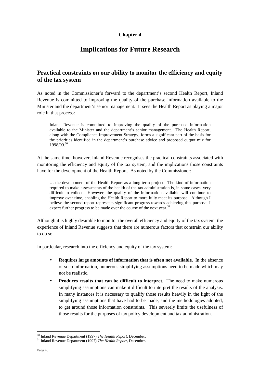# **Implications for Future Research**

## **Practical constraints on our ability to monitor the efficiency and equity of the tax system**

As noted in the Commissioner's forward to the department's second Health Report, Inland Revenue is committed to improving the quality of the purchase information available to the Minister and the department's senior management. It sees the Health Report as playing a major role in that process:

Inland Revenue is committed to improving the quality of the purchase information available to the Minister and the department's senior management. The Health Report, along with the Compliance Improvement Strategy, forms a significant part of the basis for the priorities identified in the department's purchase advice and proposed output mix for 1998/99.30

At the same time, however, Inland Revenue recognises the practical constraints associated with monitoring the efficiency and equity of the tax system, and the implications those constraints have for the development of the Health Report. As noted by the Commissioner:

… the development of the Health Report as a long term project. The kind of information required to make assessments of the health of the tax administration is, in some cases, very difficult to collect. However, the quality of the information available will continue to improve over time, enabling the Health Report to more fully meet its purpose. Although I believe the second report represents significant progress towards achieving this purpose, I expect further progress to be made over the course of the next year.<sup>31</sup>

Although it is highly desirable to monitor the overall efficiency and equity of the tax system, the experience of Inland Revenue suggests that there are numerous factors that constrain our ability to do so.

In particular, research into the efficiency and equity of the tax system:

- **Requires large amounts of information that is often not available.** In the absence of such information, numerous simplifying assumptions need to be made which may not be realistic.
- **Produces results that can be difficult to interpret.** The need to make numerous simplifying assumptions can make it difficult to interpret the results of the analysis. In many instances it is necessary to qualify those results heavily in the light of the simplifying assumptions that have had to be made, and the methodologies adopted, to get around those information constraints. This severely limits the usefulness of those results for the purposes of tax policy development and tax administration.

<sup>30</sup> Inland Revenue Department (1997) *The Health Report*, December. 31 Inland Revenue Department (1997) *The Health Report*, December.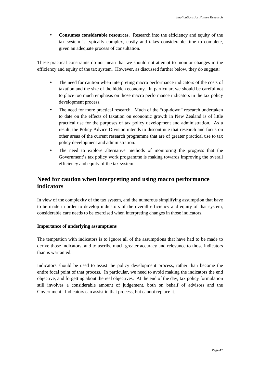• **Consumes considerable resources.** Research into the efficiency and equity of the tax system is typically complex, costly and takes considerable time to complete, given an adequate process of consultation.

These practical constraints do not mean that we should not attempt to monitor changes in the efficiency and equity of the tax system. However, as discussed further below, they do suggest:

- The need for caution when interpreting macro performance indicators of the costs of taxation and the size of the hidden economy. In particular, we should be careful not to place too much emphasis on those macro performance indicators in the tax policy development process.
- The need for more practical research. Much of the "top-down" research undertaken to date on the effects of taxation on economic growth in New Zealand is of little practical use for the purposes of tax policy development and administration. As a result, the Policy Advice Division intends to discontinue that research and focus on other areas of the current research programme that are of greater practical use to tax policy development and administration.
- The need to explore alternative methods of monitoring the progress that the Government's tax policy work programme is making towards improving the overall efficiency and equity of the tax system.

# **Need for caution when interpreting and using macro performance indicators**

In view of the complexity of the tax system, and the numerous simplifying assumption that have to be made in order to develop indicators of the overall efficiency and equity of that system, considerable care needs to be exercised when interpreting changes in those indicators.

#### **Importance of underlying assumptions**

The temptation with indicators is to ignore all of the assumptions that have had to be made to derive those indicators, and to ascribe much greater accuracy and relevance to those indicators than is warranted.

Indicators should be used to assist the policy development process, rather than become the entire focal point of that process. In particular, we need to avoid making the indicators the end objective, and forgetting about the real objectives. At the end of the day, tax policy formulation still involves a considerable amount of judgement, both on behalf of advisors and the Government. Indicators can assist in that process, but cannot replace it.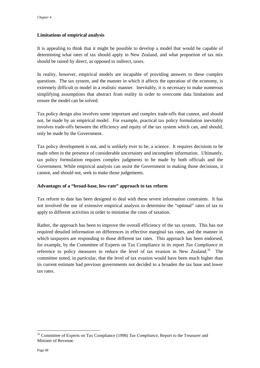#### **Limitations of empirical analysis**

It is appealing to think that it might be possible to develop a model that would be capable of determining what rates of tax should apply in New Zealand, and what proportion of tax mix should be raised by direct, as opposed to indirect, taxes.

In reality, however, empirical models are incapable of providing answers to these complex questions. The tax system, and the manner in which it affects the operation of the economy, is extremely difficult to model in a realistic manner. Inevitably, it is necessary to make numerous simplifying assumptions that abstract from reality in order to overcome data limitations and ensure the model can be solved.

Tax policy design also involves some important and complex trade-offs that cannot, and should not, be made by an empirical model. For example, practical tax policy formulation inevitably involves trade-offs between the efficiency and equity of the tax system which can, and should, only be made by the Government.

Tax policy development is not, and is unlikely ever to be, a science. It requires decisions to be made often in the presence of considerable uncertainty and incomplete information. Ultimately, tax policy formulation requires complex judgments to be made by both officials and the Government. While empirical analysis can assist the Government in making those decisions, it cannot, and should not, seek to make those judgements.

#### **Advantages of a "broad-base, low-rate" approach to tax reform**

Tax reform to date has been designed to deal with these severe information constraints. It has not involved the use of extensive empirical analysis to determine the "optimal" rates of tax to apply to different activities in order to minimise the costs of taxation.

Rather, the approach has been to improve the overall efficiency of the tax system. This has not required detailed information on differences in effective marginal tax rates, and the manner in which taxpayers are responding to those different tax rates. This approach has been endorsed, for example, by the Committee of Experts on Tax Compliance in its report *Tax Compliance* in reference to policy measures to reduce the level of tax evasion in New Zealand.<sup>32</sup> The committee noted, in particular, that the level of tax evasion would have been much higher than its current estimate had previous governments not decided to a broaden the tax base and lower tax rates.

<sup>32</sup> Committee of Experts on Tax Compliance (1998) *Tax Compliance,* Report to the Treasurer and Minister of Revenue.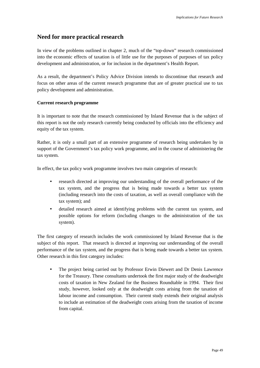### **Need for more practical research**

In view of the problems outlined in chapter 2, much of the "top-down" research commissioned into the economic effects of taxation is of little use for the purposes of purposes of tax policy development and administration, or for inclusion in the department's Health Report.

As a result, the department's Policy Advice Division intends to discontinue that research and focus on other areas of the current research programme that are of greater practical use to tax policy development and administration.

#### **Current research programme**

It is important to note that the research commissioned by Inland Revenue that is the subject of this report is not the only research currently being conducted by officials into the efficiency and equity of the tax system.

Rather, it is only a small part of an extensive programme of research being undertaken by in support of the Government's tax policy work programme, and in the course of administering the tax system.

In effect, the tax policy work programme involves two main categories of research:

- research directed at improving our understanding of the overall performance of the tax system, and the progress that is being made towards a better tax system (including research into the costs of taxation, as well as overall compliance with the tax system); and
- detailed research aimed at identifying problems with the current tax system, and possible options for reform (including changes to the administration of the tax system).

The first category of research includes the work commissioned by Inland Revenue that is the subject of this report. That research is directed at improving our understanding of the overall performance of the tax system, and the progress that is being made towards a better tax system. Other research in this first category includes:

• The project being carried out by Professor Erwin Diewert and Dr Denis Lawrence for the Treasury. These consultants undertook the first major study of the deadweight costs of taxation in New Zealand for the Business Roundtable in 1994. Their first study, however, looked only at the deadweight costs arising from the taxation of labour income and consumption. Their current study extends their original analysis to include an estimation of the deadweight costs arising from the taxation of income from capital.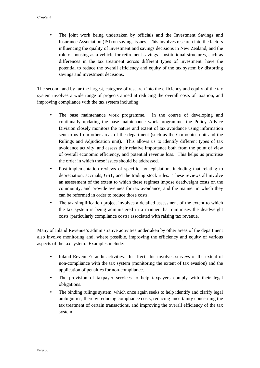• The joint work being undertaken by officials and the Investment Savings and Insurance Association (ISI) on savings issues. This involves research into the factors influencing the quality of investment and savings decisions in New Zealand, and the role of housing as a vehicle for retirement savings. Institutional structures, such as differences in the tax treatment across different types of investment, have the potential to reduce the overall efficiency and equity of the tax system by distorting savings and investment decisions.

The second, and by far the largest, category of research into the efficiency and equity of the tax system involves a wide range of projects aimed at reducing the overall costs of taxation, and improving compliance with the tax system including:

- The base maintenance work programme. In the course of developing and continually updating the base maintenance work programme, the Policy Advice Division closely monitors the nature and extent of tax avoidance using information sent to us from other areas of the department (such as the Corporates unit and the Rulings and Adjudication unit). This allows us to identify different types of tax avoidance activity, and assess their relative importance both from the point of view of overall economic efficiency, and potential revenue loss. This helps us prioritise the order in which these issues should be addressed.
- Post-implementation reviews of specific tax legislation, including that relating to depreciation, accruals, GST, and the trading stock rules. These reviews all involve an assessment of the extent to which these regimes impose deadweight costs on the community, and provide avenues for tax avoidance, and the manner in which they can be reformed in order to reduce those costs.
- The tax simplification project involves a detailed assessment of the extent to which the tax system is being administered in a manner that minimises the deadweight costs (particularly compliance costs) associated with raising tax revenue.

Many of Inland Revenue's administrative activities undertaken by other areas of the department also involve monitoring and, where possible, improving the efficiency and equity of various aspects of the tax system. Examples include:

- Inland Revenue's audit activities. In effect, this involves surveys of the extent of non-compliance with the tax system (monitoring the extent of tax evasion) and the application of penalties for non-compliance.
- The provision of taxpayer services to help taxpayers comply with their legal obligations.
- The binding rulings system, which once again seeks to help identify and clarify legal ambiguities, thereby reducing compliance costs, reducing uncertainty concerning the tax treatment of certain transactions, and improving the overall efficiency of the tax system.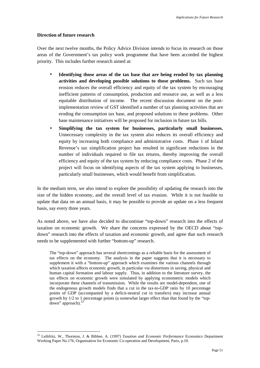#### **Direction of future research**

 $\overline{a}$ 

Over the next twelve months, the Policy Advice Division intends to focus its research on those areas of the Government's tax policy work programme that have been accorded the highest priority. This includes further research aimed at:

- **Identifying those areas of the tax base that are being eroded by tax planning activities and developing possible solutions to those problems.** Such tax base erosion reduces the overall efficiency and equity of the tax system by encouraging inefficient patterns of consumption, production and resource use, as well as a less equitable distribution of income. The recent discussion document on the postimplementation review of GST identified a number of tax planning activities that are eroding the consumption tax base, and proposed solutions to these problems. Other base maintenance initiatives will be proposed for inclusion in future tax bills.
- **Simplifying the tax system for businesses, particularly small businesses.** Unnecessary complexity in the tax system also reduces its overall efficiency and equity by increasing both compliance and administrative costs. Phase 1 of Inland Revenue's tax simplification project has resulted in significant reductions in the number of individuals required to file tax returns, thereby improving the overall efficiency and equity of the tax system by reducing compliance costs. Phase 2 of the project will focus on identifying aspects of the tax system applying to businesses, particularly small businesses, which would benefit from simplification.

In the medium term, we also intend to explore the possibility of updating the research into the size of the hidden economy, and the overall level of tax evasion. While it is not feasible to update that data on an annual basis, it may be possible to provide an update on a less frequent basis, say every three years.

As noted above, we have also decided to discontinue "top-down" research into the effects of taxation on economic growth. We share the concerns expressed by the OECD about "topdown" research into the effects of taxation and economic growth, and agree that such research needs to be supplemented with further "bottom-up" research.

The "top-down" approach has several shortcomings as a reliable basis for the assessment of tax effects on the economy. The analysis in the paper suggests that it is necessary to supplement it with a "bottom-up" approach which examines the various channels through which taxation affects economic growth, in particular via distortions in saving, physical and human capital formation and labour supply. Thus, in addition to the literature survey, the tax effects on economic growth were simulated by applying econometric models which incorporate these channels of transmission. While the results are model-dependent, one of the endogenous growth models finds that a cut in the tax-to-GDP ratio by 10 percentage points of GDP (accompanied by a deficit-neutral cut in transfers) may increase annual growth by 1/2 to 1 percentage points (a somewhat larger effect than that found by the "topdown" approach). $3$ 

<sup>33</sup> Leibfritz, W., Thornton, J. & Bibbee, A. (1997) *Taxation and Economic Performance* Economics Department Working Paper No.176, Organisation for Economic Co-operation and Development, Paris, p.10.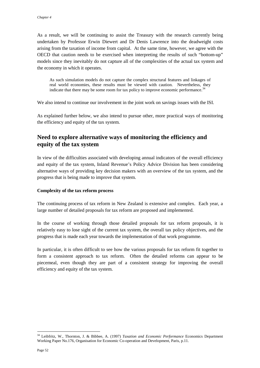As a result, we will be continuing to assist the Treasury with the research currently being undertaken by Professor Erwin Diewert and Dr Denis Lawrence into the deadweight costs arising from the taxation of income from capital. At the same time, however, we agree with the OECD that caution needs to be exercised when interpreting the results of such "bottom-up" models since they inevitably do not capture all of the complexities of the actual tax system and the economy in which it operates.

As such simulation models do not capture the complex structural features and linkages of real world economies, these results must be viewed with caution. Nevertheless, they indicate that there may be some room for tax policy to improve economic performance.<sup>34</sup>

We also intend to continue our involvement in the joint work on savings issues with the ISI.

As explained further below, we also intend to pursue other, more practical ways of monitoring the efficiency and equity of the tax system.

## **Need to explore alternative ways of monitoring the efficiency and equity of the tax system**

In view of the difficulties associated with developing annual indicators of the overall efficiency and equity of the tax system, Inland Revenue's Policy Advice Division has been considering alternative ways of providing key decision makers with an overview of the tax system, and the progress that is being made to improve that system.

#### **Complexity of the tax reform process**

The continuing process of tax reform in New Zealand is extensive and complex. Each year, a large number of detailed proposals for tax reform are proposed and implemented.

In the course of working through those detailed proposals for tax reform proposals, it is relatively easy to lose sight of the current tax system, the overall tax policy objectives, and the progress that is made each year towards the implementation of that work programme.

In particular, it is often difficult to see how the various proposals for tax reform fit together to form a consistent approach to tax reform. Often the detailed reforms can appear to be piecemeal, even though they are part of a consistent strategy for improving the overall efficiency and equity of the tax system.

<sup>34</sup> Leibfritz, W., Thornton, J. & Bibbee, A. (1997) *Taxation and Economic Performance* Economics Department Working Paper No.176, Organisation for Economic Co-operation and Development, Paris, p.11.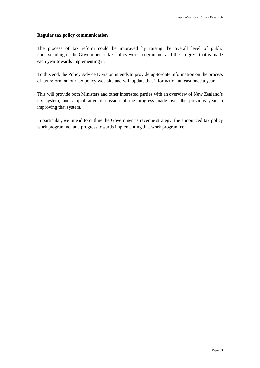#### **Regular tax policy communication**

The process of tax reform could be improved by raising the overall level of public understanding of the Government's tax policy work programme, and the progress that is made each year towards implementing it.

To this end, the Policy Advice Division intends to provide up-to-date information on the process of tax reform on our tax policy web site and will update that information at least once a year.

This will provide both Ministers and other interested parties with an overview of New Zealand's tax system, and a qualitative discussion of the progress made over the previous year to improving that system.

In particular, we intend to outline the Government's revenue strategy, the announced tax policy work programme, and progress towards implementing that work programme.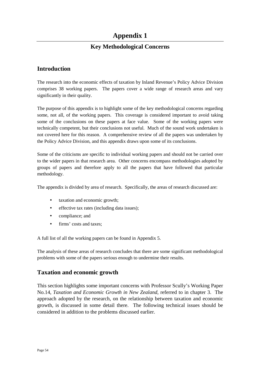# **Appendix 1**

# **Key Methodological Concerns**

## **Introduction**

The research into the economic effects of taxation by Inland Revenue's Policy Advice Division comprises 38 working papers. The papers cover a wide range of research areas and vary significantly in their quality.

The purpose of this appendix is to highlight some of the key methodological concerns regarding some, not all, of the working papers. This coverage is considered important to avoid taking some of the conclusions on these papers at face value. Some of the working papers were technically competent, but their conclusions not useful. Much of the sound work undertaken is not covered here for this reason. A comprehensive review of all the papers was undertaken by the Policy Advice Division, and this appendix draws upon some of its conclusions.

Some of the criticisms are specific to individual working papers and should not be carried over to the wider papers in that research area. Other concerns encompass methodologies adopted by groups of papers and therefore apply to all the papers that have followed that particular methodology.

The appendix is divided by area of research. Specifically, the areas of research discussed are:

- taxation and economic growth;
- effective tax rates (including data issues);
- compliance; and
- firms' costs and taxes;

A full list of all the working papers can be found in Appendix 5.

The analysis of these areas of research concludes that there are some significant methodological problems with some of the papers serious enough to undermine their results.

### **Taxation and economic growth**

This section highlights some important concerns with Professor Scully's Working Paper No.14, *Taxation and Economic Growth in New Zealand,* referred to in chapter 3. The approach adopted by the research, on the relationship between taxation and economic growth, is discussed in some detail there. The following technical issues should be considered in addition to the problems discussed earlier.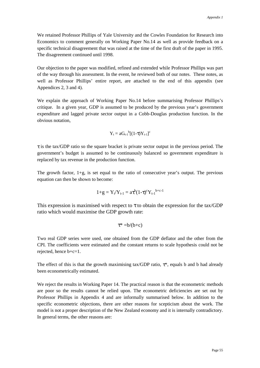We retained Professor Phillips of Yale University and the Cowles Foundation for Research into Economics to comment generally on Working Paper No.14 as well as provide feedback on a specific technical disagreement that was raised at the time of the first draft of the paper in 1995. The disagreement continued until 1998.

Our objection to the paper was modified, refined and extended while Professor Phillips was part of the way through his assessment. In the event, he reviewed both of our notes. These notes, as well as Professor Phillips' entire report, are attached to the end of this appendix (see Appendices 2, 3 and 4).

We explain the approach of Working Paper No.14 before summarising Professor Phillips's critique. In a given year, GDP is assumed to be produced by the previous year's government expenditure and lagged private sector output in a Cobb-Douglas production function. In the obvious notation,

$$
Y_t = aG_{t-1}^{b}[(1-\tau)Y_{t-1}]^c
$$

 $\tau$  is the tax/GDP ratio so the square bracket is private sector output in the previous period. The government's budget is assumed to be continuously balanced so government expenditure is replaced by tax revenue in the production function.

The growth factor,  $1+g$ , is set equal to the ratio of consecutive year's output. The previous equation can then be shown to become:

$$
1{+}g = Y_t/Y_{t\text{-}1} = a\tau^b(1{-}\tau)^c Y_{t\text{-}1}^{\phantom{t}b{+}c{-}1}
$$

This expression is maximised with respect to  $\tau$  to obtain the expression for the tax/GDP ratio which would maximise the GDP growth rate:

$$
\tau^{\ast}=\!b\!/\!(b\!+\!c)
$$

Two real GDP series were used, one obtained from the GDP deflator and the other from the CPI. The coefficients were estimated and the constant returns to scale hypothesis could not be rejected, hence b+c=1.

The effect of this is that the growth maximising tax/GDP ratio,  $\tau^*$ , equals b and b had already been econometrically estimated.

We reject the results in Working Paper 14. The practical reason is that the econometric methods are poor so the results cannot be relied upon. The econometric deficiencies are set out by Professor Phillips in Appendix 4 and are informally summarised below. In addition to the specific econometric objections, there are other reasons for scepticism about the work. The model is not a proper description of the New Zealand economy and it is internally contradictory. In general terms, the other reasons are: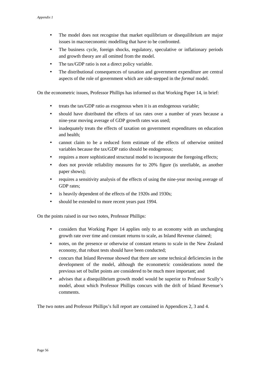- The model does not recognise that market equilibrium or disequilibrium are major issues in macroeconomic modelling that have to be confronted.
- The business cycle, foreign shocks, regulatory, speculative or inflationary periods and growth theory are all omitted from the model.
- The tax/GDP ratio is not a direct policy variable.
- The distributional consequences of taxation and government expenditure are central aspects of the role of government which are side-stepped in the *formal* model.

On the econometric issues, Professor Phillips has informed us that Working Paper 14, in brief:

- treats the tax/GDP ratio as exogenous when it is an endogenous variable;
- should have distributed the effects of tax rates over a number of years because a nine-year moving average of GDP growth rates was used;
- inadequately treats the effects of taxation on government expenditures on education and health;
- cannot claim to be a reduced form estimate of the effects of otherwise omitted variables because the tax/GDP ratio should be endogenous;
- requires a more sophisticated structural model to incorporate the foregoing effects;
- does not provide reliability measures for to 20% figure (is unreliable, as another paper shows);
- requires a sensitivity analysis of the effects of using the nine-year moving average of GDP rates;
- is heavily dependent of the effects of the 1920s and 1930s;
- should be extended to more recent years past 1994.

On the points raised in our two notes, Professor Phillips:

- considers that Working Paper 14 applies only to an economy with an unchanging growth rate over time and constant returns to scale, as Inland Revenue claimed;
- notes, on the presence or otherwise of constant returns to scale in the New Zealand economy, that robust tests should have been conducted;
- concurs that Inland Revenue showed that there are some technical deficiencies in the development of the model, although the econometric considerations noted the previous set of bullet points are considered to be much more important; and
- advises that a disequilibrium growth model would be superior to Professor Scully's model, about which Professor Phillips concurs with the drift of Inland Revenue's comments.

The two notes and Professor Phillips's full report are contained in Appendices 2, 3 and 4.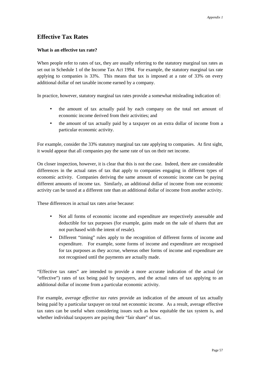# **Effective Tax Rates**

#### **What is an effective tax rate?**

When people refer to rates of tax, they are usually referring to the statutory marginal tax rates as set out in Schedule 1 of the Income Tax Act 1994. For example, the statutory marginal tax rate applying to companies is 33%. This means that tax is imposed at a rate of 33% on every additional dollar of net taxable income earned by a company.

In practice, however, statutory marginal tax rates provide a somewhat misleading indication of:

- the amount of tax actually paid by each company on the total net amount of economic income derived from their activities; and
- the amount of tax actually paid by a taxpayer on an extra dollar of income from a particular economic activity.

For example, consider the 33% statutory marginal tax rate applying to companies. At first sight, it would appear that all companies pay the same rate of tax on their net income.

On closer inspection, however, it is clear that this is not the case. Indeed, there are considerable differences in the actual rates of tax that apply to companies engaging in different types of economic activity. Companies deriving the same amount of economic income can be paying different amounts of income tax. Similarly, an additional dollar of income from one economic activity can be taxed at a different rate than an additional dollar of income from another activity.

These differences in actual tax rates arise because:

- Not all forms of economic income and expenditure are respectively assessable and deductible for tax purposes (for example, gains made on the sale of shares that are not purchased with the intent of resale).
- Different "timing" rules apply to the recognition of different forms of income and expenditure. For example, some forms of income and expenditure are recognised for tax purposes as they accrue, whereas other forms of income and expenditure are not recognised until the payments are actually made.

"Effective tax rates" are intended to provide a more accurate indication of the actual (or "effective") rates of tax being paid by taxpayers, and the actual rates of tax applying to an additional dollar of income from a particular economic activity.

For example, *average effective tax rates* provide an indication of the amount of tax actually being paid by a particular taxpayer on total net economic income. As a result, average effective tax rates can be useful when considering issues such as how equitable the tax system is, and whether individual taxpayers are paying their "fair share" of tax.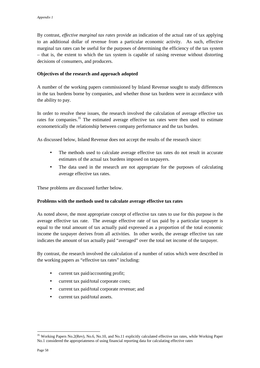By contrast, *effective marginal tax rates* provide an indication of the actual rate of tax applying to an additional dollar of revenue from a particular economic activity. As such, effective marginal tax rates can be useful for the purposes of determining the efficiency of the tax system – that is, the extent to which the tax system is capable of raising revenue without distorting decisions of consumers, and producers.

#### **Objectives of the research and approach adopted**

A number of the working papers commissioned by Inland Revenue sought to study differences in the tax burdens borne by companies, and whether those tax burdens were in accordance with the ability to pay.

In order to resolve these issues, the research involved the calculation of average effective tax rates for companies.<sup>35</sup> The estimated average effective tax rates were then used to estimate econometrically the relationship between company performance and the tax burden.

As discussed below, Inland Revenue does not accept the results of the research since:

- The methods used to calculate average effective tax rates do not result in accurate estimates of the actual tax burdens imposed on taxpayers.
- The data used in the research are not appropriate for the purposes of calculating average effective tax rates.

These problems are discussed further below.

#### **Problems with the methods used to calculate average effective tax rates**

As noted above, the most appropriate concept of effective tax rates to use for this purpose is the average effective tax rate. The average effective rate of tax paid by a particular taxpayer is equal to the total amount of tax actually paid expressed as a proportion of the total economic income the taxpayer derives from all activities. In other words, the average effective tax rate indicates the amount of tax actually paid "averaged" over the total net income of the taxpayer.

By contrast, the research involved the calculation of a number of ratios which were described in the working papers as "effective tax rates" including:

- current tax paid/accounting profit;
- current tax paid/total corporate costs;
- current tax paid/total corporate revenue; and
- current tax paid/total assets.

<sup>&</sup>lt;sup>35</sup> Working Papers No.2(Rev), No.6, No.10, and No.11 explicitly calculated effective tax rates, while Working Paper No.1 considered the appropriateness of using financial reporting data for calculating effective rates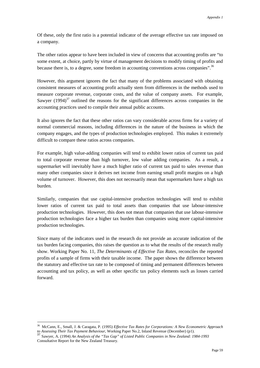Of these, only the first ratio is a potential indicator of the average effective tax rate imposed on a company.

The other ratios appear to have been included in view of concerns that accounting profits are "to some extent, at choice, partly by virtue of management decisions to modify timing of profits and because there is, to a degree, some freedom in accounting conventions across companies".36

However, this argument ignores the fact that many of the problems associated with obtaining consistent measures of accounting profit actually stem from differences in the methods used to measure corporate revenue, corporate costs, and the value of company assets. For example, Sawyer  $(1994)^{37}$  outlined the reasons for the significant differences across companies in the accounting practices used to compile their annual public accounts.

It also ignores the fact that these other ratios can vary considerable across firms for a variety of normal commercial reasons, including differences in the nature of the business in which the company engages, and the types of production technologies employed. This makes it extremely difficult to compare these ratios across companies.

For example, high value-adding companies will tend to exhibit lower ratios of current tax paid to total corporate revenue than high turnover, low value adding companies. As a result, a supermarket will inevitably have a much higher ratio of current tax paid to sales revenue than many other companies since it derives net income from earning small profit margins on a high volume of turnover. However, this does not necessarily mean that supermarkets have a high tax burden.

Similarly, companies that use capital-intensive production technologies will tend to exhibit lower ratios of current tax paid to total assets than companies that use labour-intensive production technologies. However, this does not mean that companies that use labour-intensive production technologies face a higher tax burden than companies using more capital-intensive production technologies.

Since many of the indicators used in the research do not provide an accurate indication of the tax burden facing companies, this raises the question as to what the results of the research really show. Working Paper No. 11, *The Determinants of Effective Tax Rates*, reconciles the reported profits of a sample of firms with their taxable income. The paper shows the difference between the statutory and effective tax rate to be composed of timing and permanent differences between accounting and tax policy, as well as other specific tax policy elements such as losses carried forward.

<sup>36</sup> McCann, E., Small, J. & Caragata, P. (1995) *Effective Tax Rates for Corporations: A New Econometric Approach to Assessing Their Tax Payment Behaviour*, Working Paper No.2, Inland Revenue (December) (p1). <sup>37</sup> Sawyer, A. (1994) *An Analysis of the "Tax Gap" of Listed Public Companies in New Zealand: 1984-1993*

Consultative Report for the New Zealand Treasury.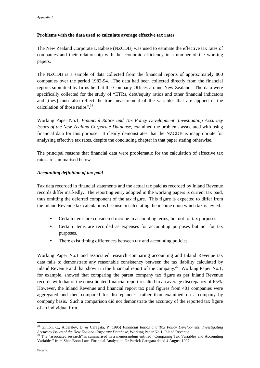#### **Problems with the data used to calculate average effective tax rates**

The New Zealand Corporate Database (NZCDB) was used to estimate the effective tax rates of companies and their relationship with the economic efficiency in a number of the working papers.

The NZCDB is a sample of data collected from the financial reports of approximately 800 companies over the period 1982-94. The data had been collected directly from the financial reports submitted by firms held at the Company Offices around New Zealand. The data were specifically collected for the study of "ETRs, debt/equity ratios and other financial indicators and [they] must also reflect the true measurement of the variables that are applied in the calculation of those ratios".<sup>38</sup>

Working Paper No.1, *Financial Ratios and Tax Policy Development: Investigating Accuracy Issues of the New Zealand Corporate Database*, examined the problems associated with using financial data for this purpose. It clearly demonstrates that the NZCDB is inappropriate for analysing effective tax rates, despite the concluding chapter in that paper stating otherwise.

The principal reasons that financial data were problematic for the calculation of effective tax rates are summarised below.

#### *Accounting definition of tax paid*

Tax data recorded in financial statements and the actual tax paid as recorded by Inland Revenue records differ markedly. The reporting entry adopted in the working papers is current tax paid, thus omitting the deferred component of the tax figure. This figure is expected to differ from the Inland Revenue tax calculations because in calculating the income upon which tax is levied:

- Certain items are considered income in accounting terms, but not for tax purposes.
- Certain items are recorded as expenses for accounting purposes but not for tax purposes.
- There exist timing differences between tax and accounting policies.

Working Paper No.1 and associated research comparing accounting and Inland Revenue tax data fails to demonstrate any reasonable consistency between the tax liability calculated by Inland Revenue and that shown in the financial report of the company.<sup>39</sup> Working Paper No.1, for example, showed that comparing the parent company tax figure as per Inland Revenue records with that of the consolidated financial report resulted in an average discrepancy of 65%. However, the Inland Revenue and financial report tax paid figures from 401 companies were aggregated and then compared for discrepancies, rather than examined on a company by company basis. Such a comparison did not demonstrate the accuracy of the reported tax figure of an individual firm.

<sup>38</sup> Gillion, C., Aldersley, D. & Caragata, P (1995) *Financial Ratios and Tax Policy Development: Investigating Accuracy Issues of the New Zealand Corporate Database,* Working Paper No.1, Inland Revenue.<br><sup>39</sup> The "associated research" is summarised in a memorandum entitled "Comparing Tax Variables and Accounting

Variables" from Shee Boon Law, Financial Analyst, to Dr Patrick Caragata dated 4 August 1997.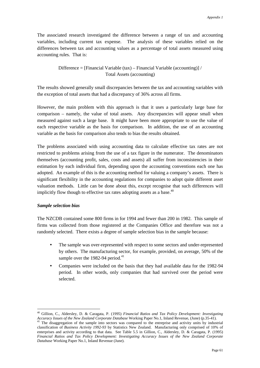The associated research investigated the difference between a range of tax and accounting variables, including current tax expense. The analysis of these variables relied on the differences between tax and accounting values as a percentage of total assets measured using accounting rules. That is:

> Difference = [Financial Variable (tax) – Financial Variable (accounting)] / Total Assets (accounting)

The results showed generally small discrepancies between the tax and accounting variables with the exception of total assets that had a discrepancy of 36% across all firms.

However, the main problem with this approach is that it uses a particularly large base for comparison – namely, the value of total assets. Any discrepancies will appear small when measured against such a large base. It might have been more appropriate to use the value of each respective variable as the basis for comparison. In addition, the use of an accounting variable as the basis for comparison also tends to bias the results obtained.

The problems associated with using accounting data to calculate effective tax rates are not restricted to problems arising from the use of a tax figure in the numerator. The denominators themselves (accounting profit, sales, costs and assets) all suffer from inconsistencies in their estimation by each individual firm, depending upon the accounting conventions each one has adopted. An example of this is the accounting method for valuing a company's assets. There is significant flexibility in the accounting regulations for companies to adopt quite different asset valuation methods. Little can be done about this, except recognise that such differences will implicitly flow though to effective tax rates adopting assets as a base. $40$ 

#### *Sample selection bias*

 $\overline{a}$ 

The NZCDB contained some 800 firms in for 1994 and fewer than 200 in 1982. This sample of firms was collected from those registered at the Companies Office and therefore was not a randomly selected. There exists a degree of sample selection bias in the sample because:

- The sample was over-represented with respect to some sectors and under-represented by others. The manufacturing sector, for example, provided, on average, 50% of the sample over the 1982-94 period.<sup>41</sup>
- Companies were included on the basis that they had available data for the 1982-94 period. In other words, only companies that had survived over the period were selected.

<sup>40</sup> Gillion, C., Aldersley, D. & Caragata, P. (1995) *Financial Ratios and Tax Policy Development: Investigating* Accuracy Issues of the New Zealand Corporate Database Working Paper No.1, Inland Revenue, (June) (p.35-41).<br><sup>41</sup> The disaggregation of the sample into sectors was compared to the entreprise and activity units by industrial

classification of *Business Activity 1992-93* by Statistics New Zealand. Manufacturing only comprised of 10% of enterprises and activity according to that data. See Table 5.5 in Gillion, C., Aldersley, D. & Caragata, P. (1995) *Financial Ratios and Tax Policy Development: Investigating Accuracy Issues of the New Zealand Corporate Database* Working Paper No.1, Inland Revenue (June).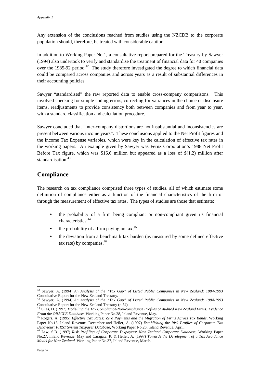Any extension of the conclusions reached from studies using the NZCDB to the corporate population should, therefore, be treated with considerable caution.

In addition to Working Paper No.1, a consultative report prepared for the Treasury by Sawyer (1994) also undertook to verify and standardise the treatment of financial data for 40 companies over the 1985-92 period.<sup>42</sup> The study therefore investigated the degree to which financial data could be compared across companies and across years as a result of substantial differences in their accounting policies.

Sawyer "standardised" the raw reported data to enable cross-company comparisons. This involved checking for simple coding errors, correcting for variances in the choice of disclosure items, readjustments to provide consistency both between companies and from year to year, with a standard classification and calculation procedure.

Sawyer concluded that "inter-company distortions are not insubstantial and inconsistencies are present between various income years". These conclusions applied to the Net Profit figures and the Income Tax Expense variables, which were key in the calculation of effective tax rates in the working papers. An example given by Sawyer was Fernz Corporation's 1988 Net Profit Before Tax figure, which was \$16.6 million but appeared as a loss of \$(1.2) million after standardisation.<sup>43</sup>

## **Compliance**

The research on tax compliance comprised three types of studies, all of which estimate some definition of compliance either as a function of the financial characteristics of the firm or through the measurement of effective tax rates. The types of studies are those that estimate:

- the probability of a firm being compliant or non-compliant given its financial characteristics:<sup>44</sup>
- the probability of a firm paying no tax;  $45$
- the deviation from a benchmark tax burden (as measured by some defined effective tax rate) by companies. $46$

<sup>42</sup> Sawyer, A. (1994) *An Analysis of the "Tax Gap" of Listed Public Companies in New Zealand: 1984-1993* Consultative Report for the New Zealand Treasury.

<sup>43</sup> Sawyer, A. (1994) *An Analysis of the "Tax Gap" of Listed Public Companies in New Zealand: 1984-1993* Consultative Report for the New Zealand Treasury  $(p.74)$ .

<sup>44</sup> Giles, D. (1997) *Modelling the Tax Compliance/Non-compliance Profiles of Audited New Zealand Firms: Evidence*

*From the ORACLE Database*, Working Paper No.28, Inland Revenue, May. 45 Rogers, A. (1995) *Effective Tax Rates: Zero Payments and the Migration of Firms Across Tax Bands*, Working Paper No.15, Inland Revenue, December and Heiler, A. (1997) *Establishing the Risk Profiles of Corporate Tax*

*Behaviour: FIRST System Taxpayer Database*, Working Paper No.26, Inland Revenue, April. 46 Law, S.B. (1997) *Risk Profiling of Corporate Taxpayers: New Zealand Corporate Database*, Working Paper No.27, Inland Revenue, May and Caragata, P. & Heiler, A. (1997) *Towards the Development of a Tax Avoidance Model for New Zealand*, Working Paper No.37, Inland Revenue, March.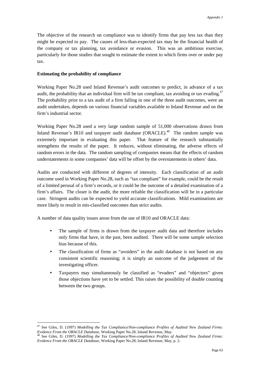The objective of the research on compliance was to identify firms that pay less tax than they might be expected to pay. The causes of less-than-expected tax may be the financial health of the company or tax planning, tax avoidance or evasion. This was an ambitious exercise, particularly for those studies that sought to estimate the extent to which firms over or under pay tax.

#### **Estimating the probability of compliance**

 $\overline{a}$ 

Working Paper No.28 used Inland Revenue's audit outcomes to predict, in advance of a tax audit, the probability that an individual firm will be tax compliant, tax avoiding or tax evading.<sup>47</sup> The probability prior to a tax audit of a firm falling in one of the three audit outcomes, were an audit undertaken, depends on various financial variables available to Inland Revenue and on the firm's industrial sector.

Working Paper No.28 used a very large random sample of 51,000 observations drawn from Inland Revenue's IR10 and taxpayer audit database  $(ORACLE)$ <sup>48</sup> The random sample was extremely important in evaluating this paper. That feature of the research substantially strengthens the results of the paper. It reduces, without eliminating, the adverse effects of random errors in the data. The random sampling of companies means that the effects of random understatements in some companies' data will be offset by the overstatements in others' data.

Audits are conducted with different of degrees of intensity. Each classification of an audit outcome used in Working Paper No.28, such as "tax compliant" for example, could be the result of a limited perusal of a firm's records, or it could be the outcome of a detailed examination of a firm's affairs. The closer is the audit, the more reliable the classification will be in a particular case. Stringent audits can be expected to yield accurate classifications. Mild examinations are more likely to result in mis-classified outcomes than strict audits.

A number of data quality issues arose from the use of IR10 and ORACLE data:

- The sample of firms is drawn from the taxpayer audit data and therefore includes only firms that have, in the past, been audited. There will be some sample selection bias because of this.
- The classification of firms as "avoiders" in the audit database is not based on any consistent scientific reasoning; it is simply an outcome of the judgement of the investigating officer.
- Taxpayers may simultaneously be classified as "evaders" and "objectors" given those objections have yet to be settled. This raises the possibility of double counting between the two groups.

<sup>47</sup> See Giles, D. (1997) *Modelling the Tax Compliance/Non-compliance Profiles of Audited New Zealand Firms: Evidence From the ORACLE Database*, Working Paper No.28, Inland Revenue, May.<br><sup>48</sup> See Giles, D. (1997) *Modelling the Tax Compliance/Non-compliance Profiles of Audited New Zealand Firms:* 

*Evidence From the ORACLE Database*, Working Paper No.28, Inland Revenue, May, p. 2.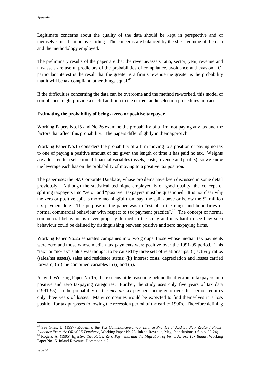Legitimate concerns about the quality of the data should be kept in perspective and of themselves need not be over riding. The concerns are balanced by the sheer volume of the data and the methodology employed.

The preliminary results of the paper are that the revenue/assets ratio, sector, year, revenue and tax/assets are useful predictors of the probabilities of compliance, avoidance and evasion. Of particular interest is the result that the greater is a firm's revenue the greater is the probability that it will be tax compliant, other things equal. $49$ 

If the difficulties concerning the data can be overcome and the method re-worked, this model of compliance might provide a useful addition to the current audit selection procedures in place.

#### **Estimating the probability of being a zero or positive taxpayer**

Working Papers No.15 and No.26 examine the probability of a firm not paying any tax and the factors that affect this probability. The papers differ slightly in their approach.

Working Paper No.15 considers the probability of a firm moving to a position of paying no tax to one of paying a positive amount of tax given the length of time it has paid no tax. Weights are allocated to a selection of financial variables (assets, costs, revenue and profits), so we know the leverage each has on the probability of moving to a positive tax position.

The paper uses the NZ Corporate Database, whose problems have been discussed in some detail previously. Although the statistical technique employed is of good quality, the concept of splitting taxpayers into "zero" and "positive" taxpayers must be questioned. It is not clear why the zero or positive split is more meaningful than, say, the split above or below the \$2 million tax payment line. The purpose of the paper was to "establish the range and boundaries of normal commercial behaviour with respect to tax payment practice".*<sup>50</sup>* The concept of normal commercial behaviour is never properly defined in the study and it is hard to see how such behaviour could be defined by distinguishing between positive and zero taxpaying firms.

Working Paper No.26 separates companies into two groups: those whose median tax payments were zero and those whose median tax payments were positive over the 1991-95 period. This "tax" or "no-tax" status was thought to be caused by three sets of relationships: (i) activity ratios (sales/net assets), sales and residence status; (ii) interest costs, depreciation and losses carried forward; (iii) the combined variables in (i) and (ii).

As with Working Paper No.15, there seems little reasoning behind the division of taxpayers into positive and zero taxpaying categories. Further, the study uses only five years of tax data (1991-95), so the probability of the *median* tax payment being zero over this period requires only three years of losses. Many companies would be expected to find themselves in a loss position for tax purposes following the recession period of the earlier 1990s. Therefore defining

<sup>49</sup> See Giles, D. (1997) *Modelling the Tax Compliance/Non-compliance Profiles of Audited New Zealand Firms: Evidence From the ORACLE Database*, Working Paper No.28, Inland Revenue, May, (conclusions a-f, p.p. 22-24).<br><sup>50</sup> Rogers, A. (1995) *Effective Tax Rates: Zero Payments and the Migration of Firms Across Tax Bands*, Working Paper No.15, Inland Revenue, December, p 2.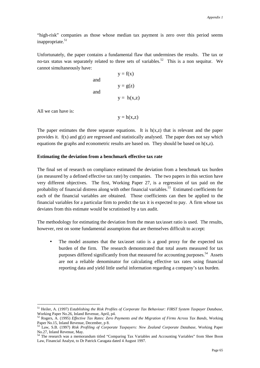"high-risk" companies as those whose median tax payment is zero over this period seems inappropriate. $51$ 

Unfortunately, the paper contains a fundamental flaw that undermines the results. The tax or no-tax status was separately related to three sets of variables.<sup>52</sup> This is a non sequitur. We cannot simultaneously have:

and  
\n
$$
y = f(x)
$$
  
\nand  
\n $y = g(z)$   
\n $y = h(x,z)$ 

All we can have is:

 $\overline{a}$ 

 $y = h(x,z)$ 

The paper estimates the three separate equations. It is  $h(x,z)$  that is relevant and the paper provides it.  $f(x)$  and  $g(z)$  are regressed and statistically analysed. The paper does not say which equations the graphs and econometric results are based on. They should be based on  $h(x,z)$ .

#### **Estimating the deviation from a benchmark effective tax rate**

The final set of research on compliance estimated the deviation from a benchmark tax burden (as measured by a defined effective tax rate) by companies. The two papers in this section have very different objectives. The first, Working Paper 27, is a regression of tax paid on the probability of financial distress along with other financial variables.<sup>53</sup> Estimated coefficients for each of the financial variables are obtained. Those coefficients can then be applied to the financial variables for a particular firm to predict the tax it is expected to pay. A firm whose tax deviates from this estimate would be scrutinised by a tax audit.

The methodology for estimating the deviation from the mean tax/asset ratio is used. The results, however, rest on some fundamental assumptions that are themselves difficult to accept:

• The model assumes that the tax/asset ratio is a good proxy for the expected tax burden of the firm. The research demonstrated that total assets measured for tax purposes differed significantly from that measured for accounting purposes.<sup>54</sup> Assets are not a reliable denominator for calculating effective tax rates using financial reporting data and yield little useful information regarding a company's tax burden.

<sup>51</sup> Heiler, A. (1997) *Establishing the Risk Profiles of Corporate Tax Behaviour: FIRST System Taxpayer Database*, Working Paper No.26, Inland Revenue, April, p4.

<sup>52</sup> Rogers, A. (1995) *Effective Tax Rates: Zero Payments and the Migration of Firms Across Tax Bands*, Working Paper No.15, Inland Revenue, December, p 8.

<sup>53</sup> Law, S.B. (1997) *Risk Profiling of Corporate Taxpayers: New Zealand Corporate Database*, Working Paper No.27, Inland Revenue, May.

The research was a memorandum titled "Comparing Tax Variables and Accounting Variables" from Shee Boon Law, Financial Analyst, to Dr Patrick Caragata dated 4 August 1997.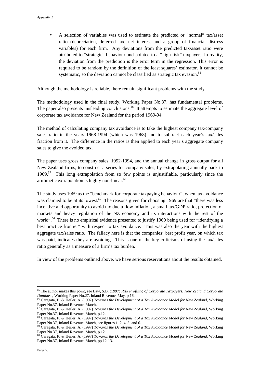• A selection of variables was used to estimate the predicted or "normal" tax/asset ratio (depreciation, deferred tax, net interest and a group of financial distress variables) for each firm. Any deviations from the predicted tax/asset ratio were attributed to "strategic" behaviour and pointed to a "high-risk" taxpayer. In reality, the deviation from the prediction is the error term in the regression. This error is required to be random by the definition of the least squares' estimator. It cannot be systematic, so the deviation cannot be classified as strategic tax evasion.<sup>55</sup>

Although the methodology is reliable, there remain significant problems with the study.

The methodology used in the final study, Working Paper No.37, has fundamental problems. The paper also presents misleading conclusions.<sup>56</sup> It attempts to estimate the aggregate level of corporate tax avoidance for New Zealand for the period 1969-94.

The method of calculating company tax avoidance is to take the highest company tax/company sales ratio in the years 1968-1994 (which was 1968) and to subtract each year's tax/sales fraction from it. The difference in the ratios is then applied to each year's aggregate company sales to give the avoided tax.

The paper uses gross company sales, 1992-1994, and the annual change in gross output for all New Zealand firms, to construct a series for company sales, by extrapolating annually back to 1969.*<sup>57</sup>* This long extrapolation from so few points is unjustifiable, particularly since the arithmetic extrapolation is highly non-linear.*<sup>58</sup>*

The study uses 1969 as the "benchmark for corporate taxpaying behaviour", when tax avoidance was claimed to be at its lowest.<sup>59</sup> The reasons given for choosing 1969 are that "there was less incentive and opportunity to avoid tax due to low inflation, a small tax/GDP ratio, protection of markets and heavy regulation of the NZ economy and its interactions with the rest of the world".<sup>60</sup> There is no empirical evidence presented to justify 1969 being used for "identifying a best practice frontier" with respect to tax avoidance. This was also the year with the highest aggregate tax/sales ratio. The fallacy here is that the companies' best profit year, on which tax was paid, indicates they are avoiding. This is one of the key criticisms of using the tax/sales ratio generally as a measure of a firm's tax burden.

In view of the problems outlined above, we have serious reservations about the results obtained.

<sup>55</sup> The author makes this point, see Law, S.B. (1997) *Risk Profiling of Corporate Taxpayers: New Zealand Corporate Database*, Working Paper No.27, Inland Revenue, May, p 16. 56 Caragata, P. & Heiler, A. (1997) *Towards the Development of a Tax Avoidance Model for New Zealand*, Working

Paper No.37, Inland Revenue, March.

<sup>57</sup> Caragata, P. & Heiler, A. (1997) *Towards the Development of a Tax Avoidance Model for New Zealand*, Working Paper No.37, Inland Revenue, March, p.12.

<sup>58</sup> Caragata, P. & Heiler, A. (1997) *Towards the Development of a Tax Avoidance Model for New Zealand*, Working Paper No.37, Inland Revenue, March, see figures 1, 2, 4, 5, and 6.

<sup>59</sup> Caragata, P. & Heiler, A. (1997) *Towards the Development of a Tax Avoidance Model for New Zealand*, Working Paper No.37, Inland Revenue, March, p 12.

<sup>60</sup> Caragata, P. & Heiler, A. (1997) *Towards the Development of a Tax Avoidance Model for New Zealand*, Working Paper No.37, Inland Revenue, March, pp 12-13.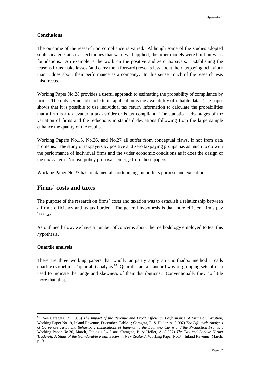#### **Conclusions**

The outcome of the research on compliance is varied. Although some of the studies adopted sophisticated statistical techniques that were well applied, the other models were built on weak foundations. An example is the work on the positive and zero taxpayers. Establishing the reasons firms make losses (and carry them forward) reveals less about their taxpaying behaviour than it does about their performance as a company. In this sense, much of the research was misdirected.

Working Paper No.28 provides a useful approach to estimating the probability of compliance by firms. The only serious obstacle to its application is the availability of reliable data. The paper shows that it is possible to use individual tax return information to calculate the probabilities that a firm is a tax evader, a tax avoider or is tax compliant. The statistical advantages of the variation of firms and the reductions in standard deviations following from the large sample enhance the quality of the results.

Working Papers No.15, No.26, and No.27 all suffer from conceptual flaws, if not from data problems. The study of taxpayers by positive and zero taxpaying groups has as much to do with the performance of individual firms and the wider economic conditions as it does the design of the tax system. No real policy proposals emerge from these papers.

Working Paper No.37 has fundamental shortcomings in both its purpose and execution.

#### **Firms' costs and taxes**

The purpose of the research on firms' costs and taxation was to establish a relationship between a firm's efficiency and its tax burden. The general hypothesis is that more efficient firms pay less tax.

As outlined below, we have a number of concerns about the methodology employed to test this hypothesis.

#### **Quartile analysis**

 $\overline{a}$ 

There are three working papers that wholly or partly apply an unorthodox method it calls quartile (sometimes "quartal") analysis.*<sup>61</sup>* Quartiles are a standard way of grouping sets of data used to indicate the range and skewness of their distributions. Conventionally they do little more than that.

<sup>61</sup> See Caragata, P. (1996) *The Impact of the Revenue and Profit Efficiency Performance of Firms on Taxation*, Working Paper No.19, Inland Revenue, December, Table 1; Caragata, P. & Heiler, A. (1997) *The Life-cycle Analysis of Corporate Taxpaying Behaviour: Implications of Integrating the Learning Curve and the Production Frontier*, Working Paper No.36, March, Tables 1,3,4,5 and Caragata, P. & Heiler, A. (1997) *The Tax and Labour Hiring Trade-off: A Study of the Non-durable Retail Sector in New Zealand*, Working Paper No.34, Inland Revenue, March, p 13.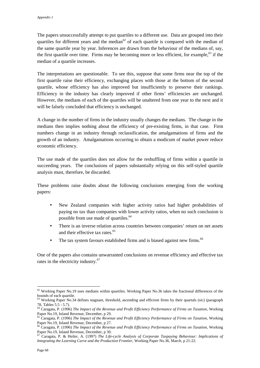The papers unsuccessfully attempt to put quartiles to a different use. Data are grouped into their quartiles for different years and the median*<sup>62</sup>* of each quartile is compared with the median of the same quartile year by year. Inferences are drawn from the behaviour of the medians of, say, the first quartile over time. Firms may be becoming more or less efficient, for example,*<sup>63</sup>* if the median of a quartile increases.

The interpretations are questionable. To see this, suppose that some firms near the top of the first quartile raise their efficiency, exchanging places with those at the bottom of the second quartile, whose efficiency has also improved but insufficiently to preserve their rankings. Efficiency in the industry has clearly improved if other firms' efficiencies are unchanged. However, the medians of each of the quartiles will be unaltered from one year to the next and it will be falsely concluded that efficiency is unchanged.

A change in the number of firms in the industry usually changes the medians. The change in the medians then implies nothing about the efficiency of pre-existing firms, in that case. Firm numbers change in an industry through reclassification, the amalgamations of firms and the growth of an industry. Amalgamations occurring to obtain a modicum of market power reduce economic efficiency.

The use made of the quartiles does not allow for the reshuffling of firms within a quartile in succeeding years. The conclusions of papers substantially relying on this self-styled quartile analysis must, therefore, be discarded.

These problems raise doubts about the following conclusions emerging from the working papers:

- New Zealand companies with higher activity ratios had higher probabilities of paying no tax than companies with lower activity ratios, when no such conclusion is possible from use made of quartiles.<sup>64</sup>
- There is an inverse relation across countries between companies' return on net assets and their effective tax rates.<sup>65</sup>
- The tax system favours established firms and is biased against new firms.<sup>66</sup>

One of the papers also contains unwarranted conclusions on revenue efficiency and effective tax rates in the electricity industry.<sup>67</sup>

 $62$  Working Paper No.19 uses medians within quartiles. Working Paper No.36 takes the fractional differences of the bounds of each quartile.

<sup>&</sup>lt;sup>63</sup> Working Paper No.34 defines stagnant, threshold, ascending and efficient firms by their quartals (sic) (paragraph 78, Tables 5.5 - 5.7).

<sup>64</sup> Caragata, P. (1996) *The Impact of the Revenue and Profit Efficiency Performance of Firms on Taxation*, Working Paper No.19, Inland Revenue, December, p 29.

<sup>65</sup> Caragata, P. (1996) *The Impact of the Revenue and Profit Efficiency Performance of Firms on Taxation*, Working Paper No.19, Inland Revenue, December, p 27.

<sup>66</sup> Caragata, P. (1996) *The Impact of the Revenue and Profit Efficiency Performance of Firms on Taxation*, Working Paper No.19, Inland Revenue, December, p 30.<br> $^{67}$  Caragata, D. & Hollow A. (1007), The Links

<sup>67</sup> Caragata, P. & Heiler, A. (1997) *The Life-cycle Analysis of Corporate Taxpaying Behaviour: Implications of Integrating the Learning Curve and the Production Frontier*, Working Paper No.36, March, p 21-22.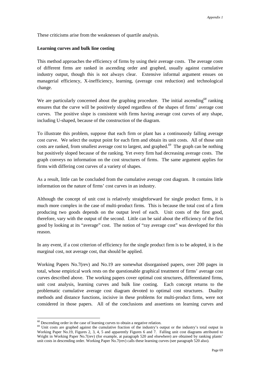These criticisms arise from the weaknesses of quartile analysis.

#### **Learning curves and bulk line costing**

This method approaches the efficiency of firms by using their average costs. The average costs of different firms are ranked in ascending order and graphed, usually against cumulative industry output, though this is not always clear. Extensive informal argument ensues on managerial efficiency, X-inefficiency, learning, (average cost reduction) and technological change.

We are particularly concerned about the graphing procedure. The initial ascending<sup>68</sup> ranking ensures that the curve will be positively sloped regardless of the shapes of firms' average cost curves. The positive slope is consistent with firms having average cost curves of any shape, including U-shaped, because of the construction of the diagram.

To illustrate this problem, suppose that each firm or plant has a continuously falling average cost curve. We select the output point for each firm and obtain its unit costs. All of those unit costs are ranked, from smallest average cost to largest, and graphed.*<sup>69</sup>* The graph can be nothing but positively sloped because of the ranking. Yet every firm had decreasing average costs. The graph conveys no information on the cost structures of firms.The same argument applies for firms with differing cost curves of a variety of shapes.

As a result, little can be concluded from the cumulative average cost diagram. It contains little information on the nature of firms' cost curves in an industry.

Although the concept of unit cost is relatively straightforward for single product firms, it is much more complex in the case of multi-product firms. This is because the total cost of a firm producing two goods depends on the output level of each. Unit costs of the first good, therefore, vary with the output of the second. Little can be said about the efficiency of the first good by looking at its "average" cost. The notion of "ray average cost" was developed for this reason.

In any event, if a cost criterion of efficiency for the single product firm is to be adopted, it is the marginal cost, not average cost, that should be applied.

Working Papers No.7(rev) and No.19 are somewhat disorganised papers, over 200 pages in total, whose empirical work rests on the questionable graphical treatment of firms' average cost curves described above. The working papers cover optimal cost structures, differentiated firms, unit cost analysis, learning curves and bulk line costing. Each concept returns to the problematic cumulative average cost diagram devoted to optimal cost structures. Duality methods and distance functions, incisive in these problems for multi-product firms, were not considered in those papers. All of the conclusions and assertions on learning curves and

<sup>&</sup>lt;sup>68</sup> Descending order in the case of learning curves to obtain a negative relation.

<sup>&</sup>lt;sup>69</sup> Unit costs are graphed against the cumulative fraction of the industry's output or the industry's total output in Working Paper No.19, Figures 2, 3, 4, 5 and apparently Figures 6 and 7. Falling unit cost diagrams attributed to Wright in Working Paper No.7(rev) (for example, at paragraph 520 and elsewhere) are obtained by ranking plants' unit costs in descending order. Working Paper No.7(rev) calls these learning curves (see paragraph 520 also).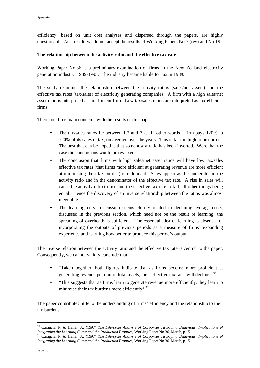efficiency, based on unit cost analyses and dispersed through the papers, are highly questionable. As a result, we do not accept the results of Working Papers No.7 (rev) and No.19.

#### **The relationship between the activity ratio and the effective tax rate**

Working Paper No.36 is a preliminary examination of firms in the New Zealand electricity generation industry, 1989-1995. The industry became liable for tax in 1989.

The study examines the relationship between the activity ratios (sales/net assets) and the effective tax rates (tax/sales) of electricity generating companies. A firm with a high sales/net asset ratio is interpreted as an efficient firm. Low tax/sales ratios are interpreted as tax-efficient firms.

There are three main concerns with the results of this paper:

- The tax/sales ratios lie between 1.2 and 7.2. In other words a firm pays 120% to 720% of its sales in tax, on average over the years. This is far too high to be correct. The best that can be hoped is that somehow a ratio has been inverted. Were that the case the conclusions would be reversed.
- The conclusion that firms with high sales/net asset ratios will have low tax/sales effective tax rates (that firms more efficient at generating revenue are more efficient at minimising their tax burden) is redundant. Sales appear as the numerator in the activity ratio and in the denominator of the effective tax rate. A rise in sales will cause the activity ratio to rise and the effective tax rate to fall, all other things being equal. Hence the discovery of an inverse relationship between the ratios was almost inevitable.
- The learning curve discussion seems closely related to declining average costs, discussed in the previous section, which need not be the result of learning; the spreading of overheads is sufficient. The essential idea of learning is absent  $-$  of incorporating the outputs of previous periods as a measure of firms' expanding experience and learning how better to produce this period's output.

The inverse relation between the activity ratio and the effective tax rate is central to the paper. Consequently, we cannot validly conclude that:

- "Taken together, both figures indicate that as firms become more proficient at generating revenue per unit of total assets, their effective tax rates will decline."<sup>70</sup>
- "This suggests that as firms learn to generate revenue more efficiently, they learn to minimise their tax burdens more efficiently".<sup>71</sup>

The paper contributes little to the understanding of firms' efficiency and the relationship to their tax burdens.

<sup>70</sup> Caragata, P. & Heiler, A. (1997) *The Life-cycle Analysis of Corporate Taxpaying Behaviour: Implications of Integrating the Learning Curve and the Production Frontier*, Working Paper No.36, March, p 15.<br><sup>71</sup> Caragata, P. & Heiler, A. (1997) *The Life-cycle Analysis of Corporate Taxpaying Behaviour: Implications of* 

*Integrating the Learning Curve and the Production Frontier*, Working Paper No.36, March, p 15.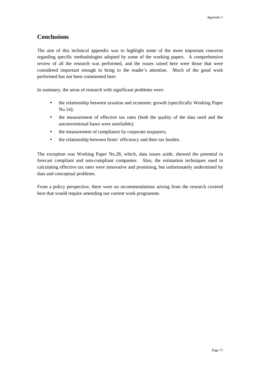#### **Conclusions**

The aim of this technical appendix was to highlight some of the more important concerns regarding specific methodologies adopted by some of the working papers. A comprehensive review of all the research was performed, and the issues raised here were those that were considered important enough to bring to the reader's attention. Much of the good work performed has not been commented here.

In summary, the areas of research with significant problems were:

- the relationship between taxation and economic growth (specifically Working Paper No.14);
- the measurement of effective tax rates (both the quality of the data used and the unconventional bases were unreliable);
- the measurement of compliance by corporate taxpayers;
- the relationship between firms' efficiency and their tax burden.

The exception was Working Paper No.28, which, data issues aside, showed the potential to forecast compliant and non-compliant companies. Also, the estimation techniques used in calculating effective tax rates were innovative and promising, but unfortunately undermined by data and conceptual problems.

From a policy perspective, there were no recommendations arising from the research covered here that would require amending our current work programme.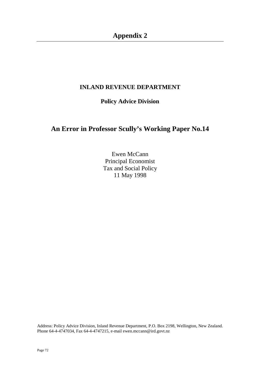## **INLAND REVENUE DEPARTMENT**

## **Policy Advice Division**

# **An Error in Professor Scully's Working Paper No.14**

Ewen McCann Principal Economist Tax and Social Policy 11 May 1998

Address: Policy Advice Division, Inland Revenue Department, P.O. Box 2198, Wellington, New Zealand. Phone 64-4-4747034, Fax 64-4-4747215, e-mail ewen.mccann@ird.govt.nz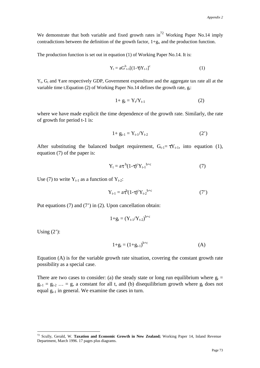We demonstrate that both variable and fixed growth rates in<sup>72</sup> Working Paper No.14 imply contradictions between the definition of the growth factor,  $1+g_t$ , and the production function.

The production function is set out in equation (1) of Working Paper No.14. It is:

$$
Y_t = aG_{t-1}^b[(1-\tau)Y_{t-1}]^c
$$
 (1)

 $Y_t$ ,  $G_t$  and  $\tau$  are respectively GDP, Government expenditure and the aggregate tax rate all at the variable time t. Equation (2) of Working Paper No. 14 defines the growth rate,  $g_t$ :

$$
1+g_t = Y_t/Y_{t-1} \tag{2}
$$

where we have made explicit the time dependence of the growth rate. Similarly, the rate of growth for period t-1 is:

$$
1 + g_{t-1} = Y_{t-1}/Y_{t-2}
$$
 (2')

After substituting the balanced budget requirement,  $G_{t-1} = \tau Y_{t-1}$ , into equation (1), equation (7) of the paper is:

$$
Y_t = a\tau^{b}(1-\tau)^c Y_{t-1}^{b+c}
$$
 (7)

Use (7) to write  $Y_{t-1}$  as a function of  $Y_{t-2}$ :

$$
Y_{t-1} = a\tau^{b}(1-\tau)^{c}Y_{t-2}^{b+c}
$$
 (7')

Put equations (7) and (7') in (2). Upon cancellation obtain:

$$
1\!+\!g_t=(Y_{t\text{-}1}/Y_{t\text{-}2})^{b\!+\!c}
$$

Using  $(2')$ :

 $\overline{a}$ 

$$
1+g_t = (1+g_{t-1})^{b+c}
$$
 (A)

Equation (A) is for the variable growth rate situation, covering the constant growth rate possibility as a special case.

There are two cases to consider: (a) the steady state or long run equilibrium where  $g_t =$  $g_{t-1} = g_{t-2}$  ... = g, a constant for all t, and (b) disequilibrium growth where  $g_t$  does not equal  $g_{t-1}$  in general. We examine the cases in turn.

<sup>72</sup> Scully, Gerald, W. **Taxation and Economic Growth in New Zealand;** Working Paper 14, Inland Revenue Department, March 1996. 17 pages plus diagrams.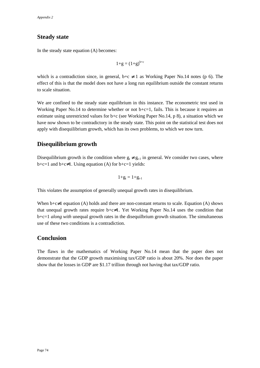### **Steady state**

In the steady state equation (A) becomes:

$$
1+g = (1+g)^{b+c}
$$

which is a contradiction since, in general,  $b+c \neq 1$  as Working Paper No.14 notes (p 6). The effect of this is that the model does not have a long run equilibrium outside the constant returns to scale situation.

We are confined to the steady state equilibrium in this instance. The econometric test used in Working Paper No.14 to determine whether or not  $b+c=1$ , fails. This is because it requires an estimate using unrestricted values for b+c (see Working Paper No.14, p 8), a situation which we have now shown to be contradictory in the steady state. This point on the statistical test does not apply with disequilibrium growth, which has its own problems, to which we now turn.

#### **Disequilibrium growth**

Disequilibrium growth is the condition where  $g_t \neq g_{t-1}$  in general. We consider two cases, where  $b+c=1$  and  $b+c\neq 1$ . Using equation (A) for  $b+c=1$  yields:

$$
1\!+\!g_t=1\!+\!g_{t\text{-}1}
$$

This violates the assumption of generally unequal growth rates in disequilibrium.

When  $b+c\neq 1$  equation (A) holds and there are non-constant returns to scale. Equation (A) shows that unequal growth rates require  $b+c\neq 1$ . Yet Working Paper No.14 uses the condition that b+c=1 *along with* unequal growth rates in the disequilbrium growth situation. The simultaneous use of these two conditions is a contradiction.

#### **Conclusion**

The flaws in the mathematics of Working Paper No.14 mean that the paper does not demonstrate that the GDP growth maximising tax/GDP ratio is about 20%. Nor does the paper show that the losses in GDP are \$1.17 trillion through not having that tax/GDP ratio.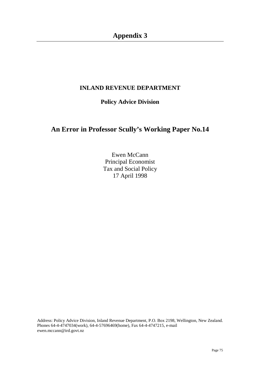# **Appendix 3**

### **INLAND REVENUE DEPARTMENT**

### **Policy Advice Division**

# **An Error in Professor Scully's Working Paper No.14**

Ewen McCann Principal Economist Tax and Social Policy 17 April 1998

Address: Policy Advice Division, Inland Revenue Department, P.O. Box 2198, Wellington, New Zealand. Phones 64-4-4747034(work), 64-4-57696469(home), Fax 64-4-4747215, e-mail ewen.mccann@ird.govt.nz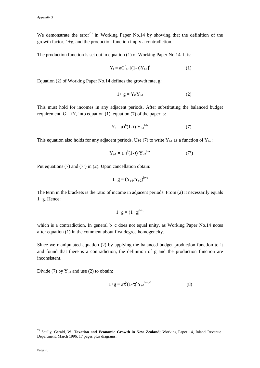We demonstrate the error<sup>73</sup> in Working Paper No.14 by showing that the definition of the growth factor, 1+g, and the production function imply a contradiction.

The production function is set out in equation (1) of Working Paper No.14. It is:

$$
Y_{t} = aG^{b}_{t-1}[(1-\tau)Y_{t-1}]^{c}
$$
 (1)

Equation (2) of Working Paper No.14 defines the growth rate, g:

$$
1+g = Y_t/Y_{t-1} \tag{2}
$$

This must hold for incomes in any adjacent periods. After substituting the balanced budget requirement,  $G = \tau Y$ , into equation (1), equation (7) of the paper is:

$$
Y_t = a\tau^b (1-\tau)^c Y_{t-1}^{b+c}
$$
 (7)

This equation also holds for any adjacent periods. Use (7) to write  $Y_{t-1}$  as a function of  $Y_{t-2}$ :

$$
Y_{t-1} = a \tau^{b} (1-\tau)^{c} Y_{t-2}^{b+c}
$$
 (7')

Put equations (7) and (7') in (2). Upon cancellation obtain:

$$
1+g = (Y_{t\text{-}1}/Y_{t\text{-}2})^{b+c}
$$

The term in the brackets is the ratio of income in adjacent periods. From (2) it necessarily equals 1+g. Hence:

$$
1+g=(1+g)^{b+c}
$$

which is a contradiction. In general b+c does not equal unity, as Working Paper No.14 notes after equation (1) in the comment about first degree homogeneity.

Since we manipulated equation (2) by applying the balanced budget production function to it and found that there is a contradiction, the definition of g and the production function are inconsistent.

Divide (7) by  $Y_{t-1}$  and use (2) to obtain:

$$
1+g = a\tau^{b}(1-\tau)^{c}Y_{t-1}^{b+c-1}
$$
 (8)

<sup>73</sup> Scully, Gerald, W. **Taxation and Economic Growth in New Zealand;** Working Paper 14, Inland Revenue Department, March 1996. 17 pages plus diagrams.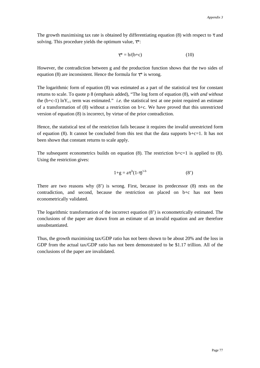The growth maximising tax rate is obtained by differentiating equation (8) with respect to  $\tau$  and solving. This procedure yields the optimum value,  $\tau^*$ :

$$
\tau^* = b/(b+c) \tag{10}
$$

However, the contradiction between g and the production function shows that the two sides of equation (8) are inconsistent. Hence the formula for  $\tau^*$  is wrong.

The logarithmic form of equation (8) was estimated as a part of the statistical test for constant returns to scale. To quote p 8 (emphasis added), "The log form of equation (8), *with and without* the (b+c-1)  $\ln Y_{t-1}$  term was estimated." *i.e.* the statistical test at one point required an estimate of a transformation of (8) without a restriction on b+c. We have proved that this unrestricted version of equation (8) is incorrect, by virtue of the prior contradiction.

Hence, the statistical test of the restriction fails because it requires the invalid unrestricted form of equation (8). It cannot be concluded from this test that the data supports  $b+c=1$ . It has not been shown that constant returns to scale apply.

The subsequent econometrics builds on equation (8). The restriction  $b+c=1$  is applied to (8). Using the restriction gives:

$$
1+g = a\tau^{b}(1-\tau)^{1-b} \tag{8'}
$$

There are two reasons why (8') is wrong. First, because its predecessor (8) rests on the contradiction, and second, because the restriction on placed on b+c has not been econometrically validated.

The logarithmic transformation of the incorrect equation (8') is econometrically estimated. The conclusions of the paper are drawn from an estimate of an invalid equation and are therefore unsubstantiated.

Thus, the growth maximising tax/GDP ratio has not been shown to be about 20% and the loss in GDP from the actual tax/GDP ratio has not been demonstrated to be \$1.17 trillion. All of the conclusions of the paper are invalidated.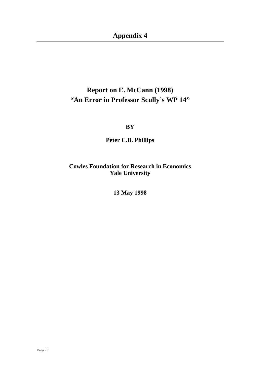**Appendix 4**

# **Report on E. McCann (1998) "An Error in Professor Scully's WP 14"**

**BY**

**Peter C.B. Phillips**

**Cowles Foundation for Research in Economics Yale University**

**13 May 1998**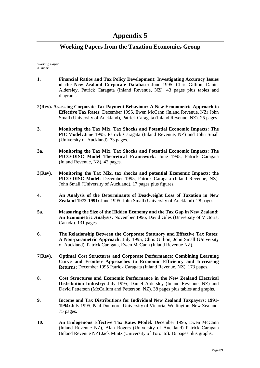### **Working Papers from the Taxation Economics Group**

#### *Working Paper Number*

- **1. Financial Ratios and Tax Policy Development: Investigating Accuracy Issues of the New Zealand Corporate Database:** June 1995, Chris Gillion, Daniel Aldersley, Patrick Caragata (Inland Revenue, NZ). 43 pages plus tables and diagrams.
- **2(Rev). Assessing Corporate Tax Payment Behaviour: A New Econometric Approach to Effective Tax Rates:** December 1995, Ewen McCann (Inland Revenue, NZ) John Small (University of Auckland), Patrick Caragata (Inland Revenue, NZ). 25 pages.
- **3. Monitoring the Tax Mix, Tax Shocks and Potential Economic Impacts: The PIC Model:** June 1995, Patrick Caragata (Inland Revenue, NZ) and John Small (University of Auckland). 73 pages.
- **3a. Monitoring the Tax Mix, Tax Shocks and Potential Economic Impacts: The PICO-DISC Model Theoretical Framework:** June 1995, Patrick Caragata (Inland Revenue, NZ). 42 pages.
- **3(Rev). Monitoring the Tax Mix, tax shocks and potential Economic Impacts: the PICO-DISC Model:** December 1995, Patrick Caragata (Inland Revenue, NZ). John Small (University of Auckland). 17 pages plus figures.
- **4. An Analysis of the Determinants of Deadweight Loss of Taxation in New Zealand 1972-1991:** June 1995, John Small (University of Auckland). 28 pages.
- **5a. Measuring the Size of the Hidden Economy and the Tax Gap in New Zealand: An Econometric Analysis:** November 1996, David Giles (University of Victoria, Canada). 131 pages.
- **6. The Relationship Between the Corporate Statutory and Effective Tax Rates: A Non-parametric Approach:** July 1995, Chris Gillion, John Small (University of Auckland), Patrick Caragata, Ewen McCann (Inland Revenue NZ).
- **7(Rev). Optimal Cost Structures and Corporate Performance: Combining Learning Curve and Frontier Approaches to Economic Efficiency and Increasing Returns:** December 1995 Patrick Caragata (Inland Revenue, NZ). 173 pages.
- **8. Cost Structures and Economic Performance in the New Zealand Electrical Distribution Industry:** July 1995, Daniel Aldersley (Inland Revenue, NZ) and David Petterson (McCallum and Petterson, NZ). 38 pages plus tables and graphs.
- **9. Income and Tax Distributions for Individual New Zealand Taxpayers: 1991- 1994:** July 1995, Paul Dunmore, University of Victoria, Wellington, New Zealand. 75 pages.
- **10. An Endogenous Effective Tax Rates Model:** December 1995, Ewen McCann (Inland Revenue NZ), Alan Rogers (University of Auckland) Patrick Caragata (Inland Revenue NZ) Jack Mintz (University of Toronto). 16 pages plus graphs.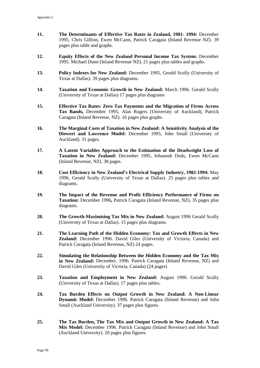- **11. The Determinants of Effective Tax Rates in Zealand, 1981- 1994:** December 1995, Chris Gillion, Ewen McCann, Patrick Caragata (Inland Revenue NZ). 39 pages plus table and graphs.
- **12. Equity Effects of the New Zealand Personal Income Tax System:** December 1995. Michael Dunn (Inland Revenue NZ). 21 pages plus tables and graphs.
- **13. Policy Indexes for New Zealand:** December 1995, Gerald Scully (University of Texas at Dallas). 39 pages plus diagrams.
- **14. Taxation and Economic Growth in New Zealand:** March 1996. Gerald Scully (University of Texas at Dallas) 17 pages plus diagrams
- **15. Effective Tax Rates: Zero Tax Payments and the Migration of Firms Across Tax Bands,** December 1995, Alan Rogers (University of Auckland), Patrick Caragata (Inland Revenue, NZ). 16 pages plus graphs
- **16. The Marginal Costs of Taxation in New Zealand: A Sensitivity Analysis of the Diewert and Lawrence Model:** December 1995, John Small (University of Auckland). 31 pages.
- **17. A Latent Variables Approach to the Estimation of the Deadweight Loss of Taxation in New Zealand:** December 1995, Johannah Dods, Ewen McCann (Inland Revenue, NZ). 38 pages.
- **18. Cost Efficiency in New Zealand's Electrical Supply Industry, 1982-1994:** May 1996, Gerald Scully (University of Texas at Dallas). 25 pages plus tables and diagrams.
- **19. The Impact of the Revenue and Profit Efficiency Performance of Firms on Taxation:** December 1996**,** Patrick Caragata (Inland Revenue, NZ). 35 pages plus diagrams.
- **20. The Growth-Maximising Tax Mix in New Zealand:** August 1996 Gerald Scully (University of Texas at Dallas). 15 pages plus diagrams.
- **21. The Learning Path of the Hidden Economy: Tax and Growth Effects in New Zealand:** December 1996. David Giles (University of Victoria, Canada) and Patrick Caragata (Inland Revenue, NZ) 24 pages.
- **22. Simulating the Relationship Between the Hidden Economy and the Tax Mix in New Zealand:** December, 1996. Patrick Caragata (Inland Revenue, NZ) and David Giles (University of Victoria, Canada) (24 pages)
- **23. Taxation and Employment in New Zealand:** August 1996. Gerald Scully (University of Texas at Dallas). 17 pages plus tables.
- **24. Tax Burden Effects on Output Growth in New Zealand: A Non-Linear Dynamic Model:** December 1996. Patrick Caragata (Inland Revenue) and John Small (Auckland University). 37 pages plus figures.
- **25. The Tax Burden, The Tax Mix and Output Growth in New Zealand: A Tax Mix Model:** December 1996. Patrick Caragata (Inland Revenue) and John Small (Auckland University). 20 pages plus figures.